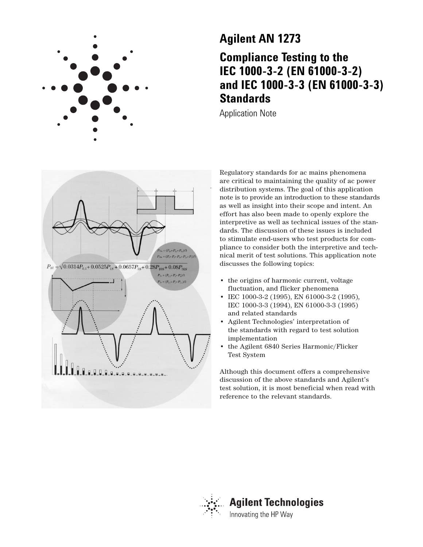

# **Agilent AN 1273 Compliance Testing to the IEC 1000-3-2 (EN 61000-3-2) and IEC 1000-3-3 (EN 61000-3-3) Standards**

Application Note



Regulatory standards for ac mains phenomena are critical to maintaining the quality of ac power distribution systems. The goal of this application note is to provide an introduction to these standards as well as insight into their scope and intent. An effort has also been made to openly explore the interpretive as well as technical issues of the standards. The discussion of these issues is included to stimulate end-users who test products for compliance to consider both the interpretive and technical merit of test solutions. This application note discusses the following topics:

- the origins of harmonic current, voltage fluctuation, and flicker phenomena
- IEC 1000-3-2 (1995), EN 61000-3-2 (1995), IEC 1000-3-3 (1994), EN 61000-3-3 (1995) and related standards
- Agilent Technologies' interpretation of the standards with regard to test solution implementation
- the Agilent 6840 Series Harmonic/Flicker Test System

Although this document offers a comprehensive discussion of the above standards and Agilent's test solution, it is most beneficial when read with reference to the relevant standards.

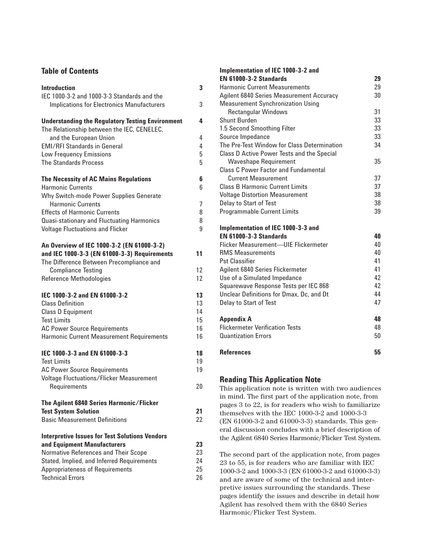### **Table of Contents**

| <b>Introduction</b><br>IEC 1000-3-2 and 1000-3-3 Standards and the                                    | 3      |
|-------------------------------------------------------------------------------------------------------|--------|
| <b>Implications for Electronics Manufacturers</b>                                                     | 3      |
| <b>Understanding the Regulatory Testing Environment</b><br>The Relationship between the IEC, CENELEC, | 4      |
| and the European Union                                                                                | 4      |
| <b>EMI/RFI Standards in General</b>                                                                   | 4      |
| <b>Low Frequency Emissions</b>                                                                        | 5      |
| <b>The Standards Process</b>                                                                          | 5      |
| The Necessity of AC Mains Regulations                                                                 | 6      |
| <b>Harmonic Currents</b>                                                                              | 6      |
| Why Switch-mode Power Supplies Generate                                                               |        |
| <b>Harmonic Currents</b>                                                                              | 7      |
| <b>Effects of Harmonic Currents</b><br><b>Quasi-stationary and Fluctuating Harmonics</b>              | 8<br>8 |
| <b>Voltage Fluctuations and Flicker</b>                                                               | 9      |
|                                                                                                       |        |
| An Overview of IEC 1000-3-2 (EN 61000-3-2)                                                            | 11     |
| and IEC 1000-3-3 (EN 61000-3-3) Requirements<br>The Difference Between Precompliance and              |        |
| <b>Compliance Testing</b>                                                                             | 12     |
| <b>Reference Methodologies</b>                                                                        | 12     |
|                                                                                                       |        |
| IEC 1000-3-2 and EN 61000-3-2                                                                         | 13     |
| <b>Class Definition</b>                                                                               | 13     |
| <b>Class D Equipment</b>                                                                              | 14     |
| <b>Test Limits</b>                                                                                    | 15     |
| <b>AC Power Source Requirements</b>                                                                   | 16     |
| <b>Harmonic Current Measurement Requirements</b>                                                      | 16     |
| IEC 1000-3-3 and EN 61000-3-3                                                                         | 18     |
| <b>Test Limits</b>                                                                                    | 19     |
| <b>AC Power Source Requirements</b>                                                                   | 19     |
| <b>Voltage Fluctuations/Flicker Measurement</b>                                                       |        |
| Requirements                                                                                          | 20     |
| The Agilent 6840 Series Harmonic/Flicker                                                              |        |
| <b>Test System Solution</b>                                                                           | 21     |
| <b>Basic Measurement Definitions</b>                                                                  | 22     |
| <b>Interpretive Issues for Test Solutions Vendors</b>                                                 |        |
| and Equipment Manufacturers                                                                           | 23     |
| Normative References and Their Scope                                                                  | 23     |
| Stated, Implied, and Inferred Requirements                                                            | 24     |
| Appropriateness of Requirements                                                                       | 25     |
| <b>Technical Errors</b>                                                                               | 26     |

| Implementation of IEC 1000-3-2 and              |    |
|-------------------------------------------------|----|
| <b>EN 61000-3-2 Standards</b>                   | 29 |
| <b>Harmonic Current Measurements</b>            | 29 |
| <b>Agilent 6840 Series Measurement Accuracy</b> | 30 |
| <b>Measurement Synchronization Using</b>        |    |
| <b>Rectangular Windows</b>                      | 31 |
| <b>Shunt Burden</b>                             | 33 |
| 1.5 Second Smoothing Filter                     | 33 |
| Source Impedance                                | 33 |
| The Pre-Test Window for Class Determination     | 34 |
| Class D Active Power Tests and the Special      |    |
| <b>Waveshape Requirement</b>                    | 35 |
| <b>Class C Power Factor and Fundamental</b>     |    |
| <b>Current Measurement</b>                      | 37 |
| <b>Class B Harmonic Current Limits</b>          | 37 |
| <b>Voltage Distortion Measurement</b>           | 38 |
| Delay to Start of Test                          | 38 |
| <b>Programmable Current Limits</b>              | 39 |
| Implementation of IEC 1000-3-3 and              |    |
| <b>EN 61000-3-3 Standards</b>                   | 40 |
| Flicker Measurement-UIE Flickermeter            | 40 |
| <b>RMS Measurements</b>                         | 40 |
| <b>Pst Classifier</b>                           | 41 |
| Agilent 6840 Series Flickermeter                | 41 |
| Use of a Simulated Impedance                    | 42 |
| Squarewave Response Tests per IEC 868           | 42 |
| Unclear Definitions for Dmax, Dc, and Dt        | 44 |
| Delay to Start of Test                          | 47 |
| <b>Appendix A</b>                               | 48 |
| <b>Flickermeter Verification Tests</b>          | 48 |
| <b>Quantization Errors</b>                      | 50 |
| <b>References</b>                               | 55 |

## **Reading This Application Note**

This application note is written with two audiences in mind. The first part of the application note, from pages 3 to 22, is for readers who wish to familiarize themselves with the IEC 1000-3-2 and 1000-3-3 (EN 61000-3-2 and 61000-3-3) standards. This general discussion concludes with a brief description of the Agilent 6840 Series Harmonic/Flicker Test System.

The second part of the application note, from pages 23 to 55, is for readers who are familiar with IEC 1000-3-2 and 1000-3-3 (EN 61000-3-2 and 61000-3-3) and are aware of some of the technical and interpretive issues surrounding the standards. These pages identify the issues and describe in detail how Agilent has resolved them with the 6840 Series Harmonic/Flicker Test System.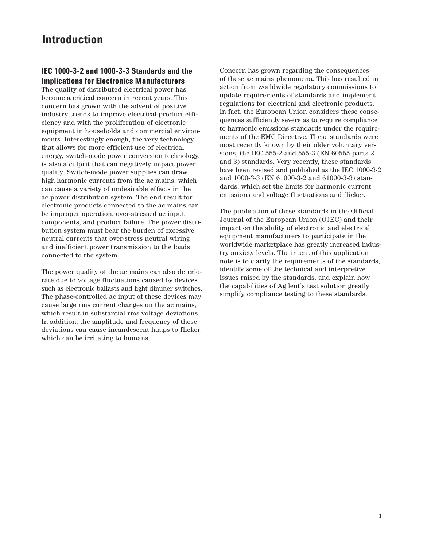## **Introduction**

### **IEC 1000-3-2 and 1000-3-3 Standards and the Implications for Electronics Manufacturers**

The quality of distributed electrical power has become a critical concern in recent years. This concern has grown with the advent of positive industry trends to improve electrical product efficiency and with the proliferation of electronic equipment in households and commercial environments. Interestingly enough, the very technology that allows for more efficient use of electrical energy, switch-mode power conversion technology, is also a culprit that can negatively impact power quality. Switch-mode power supplies can draw high harmonic currents from the ac mains, which can cause a variety of undesirable effects in the ac power distribution system. The end result for electronic products connected to the ac mains can be improper operation, over-stressed ac input components, and product failure. The power distribution system must bear the burden of excessive neutral currents that over-stress neutral wiring and inefficient power transmission to the loads connected to the system.

The power quality of the ac mains can also deteriorate due to voltage fluctuations caused by devices such as electronic ballasts and light dimmer switches. The phase-controlled ac input of these devices may cause large rms current changes on the ac mains, which result in substantial rms voltage deviations. In addition, the amplitude and frequency of these deviations can cause incandescent lamps to flicker, which can be irritating to humans.

Concern has grown regarding the consequences of these ac mains phenomena. This has resulted in action from worldwide regulatory commissions to update requirements of standards and implement regulations for electrical and electronic products. In fact, the European Union considers these consequences sufficiently severe as to require compliance to harmonic emissions standards under the requirements of the EMC Directive. These standards were most recently known by their older voluntary versions, the IEC 555-2 and 555-3 (EN 60555 parts 2 and 3) standards. Very recently, these standards have been revised and published as the IEC 1000-3-2 and 1000-3-3 (EN 61000-3-2 and 61000-3-3) standards, which set the limits for harmonic current emissions and voltage fluctuations and flicker.

The publication of these standards in the Official Journal of the European Union (OJEC) and their impact on the ability of electronic and electrical equipment manufacturers to participate in the worldwide marketplace has greatly increased industry anxiety levels. The intent of this application note is to clarify the requirements of the standards, identify some of the technical and interpretive issues raised by the standards, and explain how the capabilities of Agilent's test solution greatly simplify compliance testing to these standards.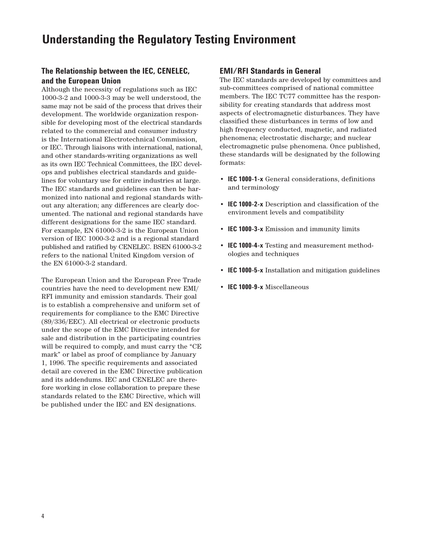## **Understanding the Regulatory Testing Environment**

## **The Relationship between the IEC, CENELEC, and the European Union**

Although the necessity of regulations such as IEC 1000-3-2 and 1000-3-3 may be well understood, the same may not be said of the process that drives their development. The worldwide organization responsible for developing most of the electrical standards related to the commercial and consumer industry is the International Electrotechnical Commission, or IEC. Through liaisons with international, national, and other standards-writing organizations as well as its own IEC Technical Committees, the IEC develops and publishes electrical standards and guidelines for voluntary use for entire industries at large. The IEC standards and guidelines can then be harmonized into national and regional standards without any alteration; any differences are clearly documented. The national and regional standards have different designations for the same IEC standard. For example, EN 61000-3-2 is the European Union version of IEC 1000-3-2 and is a regional standard published and ratified by CENELEC. BSEN 61000-3-2 refers to the national United Kingdom version of the EN 61000-3-2 standard.

The European Union and the European Free Trade countries have the need to development new EMI/ RFI immunity and emission standards. Their goal is to establish a comprehensive and uniform set of requirements for compliance to the EMC Directive (89/336/EEC). All electrical or electronic products under the scope of the EMC Directive intended for sale and distribution in the participating countries will be required to comply, and must carry the "CE mark" or label as proof of compliance by January 1, 1996. The specific requirements and associated detail are covered in the EMC Directive publication and its addendums. IEC and CENELEC are therefore working in close collaboration to prepare these standards related to the EMC Directive, which will be published under the IEC and EN designations.

#### **EMI/RFI Standards in General**

The IEC standards are developed by committees and sub-committees comprised of national committee members. The IEC TC77 committee has the responsibility for creating standards that address most aspects of electromagnetic disturbances. They have classified these disturbances in terms of low and high frequency conducted, magnetic, and radiated phenomena; electrostatic discharge; and nuclear electromagnetic pulse phenomena. Once published, these standards will be designated by the following formats:

- **IEC 1000-1-x** General considerations, definitions and terminology
- **IEC 1000-2-x** Description and classification of the environment levels and compatibility
- **IEC 1000-3-x** Emission and immunity limits
- **IEC 1000-4-x** Testing and measurement methodologies and techniques
- **IEC 1000-5-x** Installation and mitigation guidelines
- **IEC 1000-9-x** Miscellaneous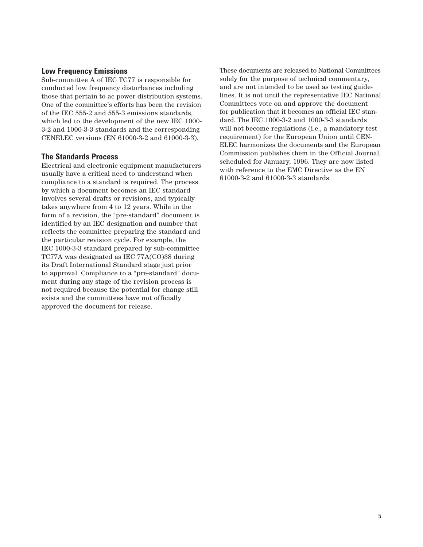### **Low Frequency Emissions**

Sub-committee A of IEC TC77 is responsible for conducted low frequency disturbances including those that pertain to ac power distribution systems. One of the committee's efforts has been the revision of the IEC 555-2 and 555-3 emissions standards, which led to the development of the new IEC 1000- 3-2 and 1000-3-3 standards and the corresponding CENELEC versions (EN 61000-3-2 and 61000-3-3).

## **The Standards Process**

Electrical and electronic equipment manufacturers usually have a critical need to understand when compliance to a standard is required. The process by which a document becomes an IEC standard involves several drafts or revisions, and typically takes anywhere from 4 to 12 years. While in the form of a revision, the "pre-standard" document is identified by an IEC designation and number that reflects the committee preparing the standard and the particular revision cycle. For example, the IEC 1000-3-3 standard prepared by sub-committee TC77A was designated as IEC 77A(CO)38 during its Draft International Standard stage just prior to approval. Compliance to a "pre-standard" document during any stage of the revision process is not required because the potential for change still exists and the committees have not officially approved the document for release.

These documents are released to National Committees solely for the purpose of technical commentary, and are not intended to be used as testing guidelines. It is not until the representative IEC National Committees vote on and approve the document for publication that it becomes an official IEC standard. The IEC 1000-3-2 and 1000-3-3 standards will not become regulations (i.e., a mandatory test requirement) for the European Union until CEN-ELEC harmonizes the documents and the European Commission publishes them in the Official Journal, scheduled for January, 1996. They are now listed with reference to the EMC Directive as the EN 61000-3-2 and 61000-3-3 standards.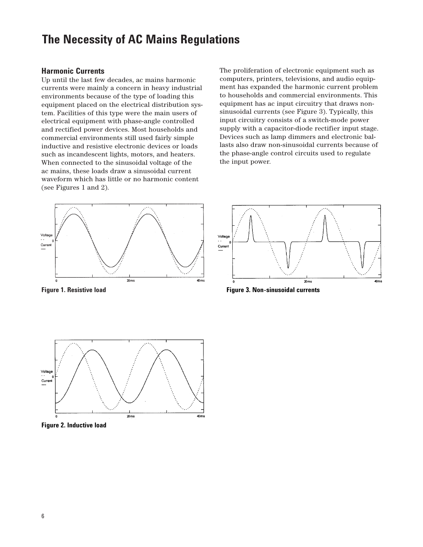## **The Necessity of AC Mains Regulations**

#### **Harmonic Currents**

Up until the last few decades, ac mains harmonic currents were mainly a concern in heavy industrial environments because of the type of loading this equipment placed on the electrical distribution system. Facilities of this type were the main users of electrical equipment with phase-angle controlled and rectified power devices. Most households and commercial environments still used fairly simple inductive and resistive electronic devices or loads such as incandescent lights, motors, and heaters. When connected to the sinusoidal voltage of the ac mains, these loads draw a sinusoidal current waveform which has little or no harmonic content (see Figures 1 and 2).

The proliferation of electronic equipment such as computers, printers, televisions, and audio equipment has expanded the harmonic current problem to households and commercial environments. This equipment has ac input circuitry that draws nonsinusoidal currents (see Figure 3). Typically, this input circuitry consists of a switch-mode power supply with a capacitor-diode rectifier input stage. Devices such as lamp dimmers and electronic ballasts also draw non-sinusoidal currents because of the phase-angle control circuits used to regulate the input power.



**Figure 1. Resistive load**



**Figure 3. Non-sinusoidal currents**



**Figure 2. Inductive load**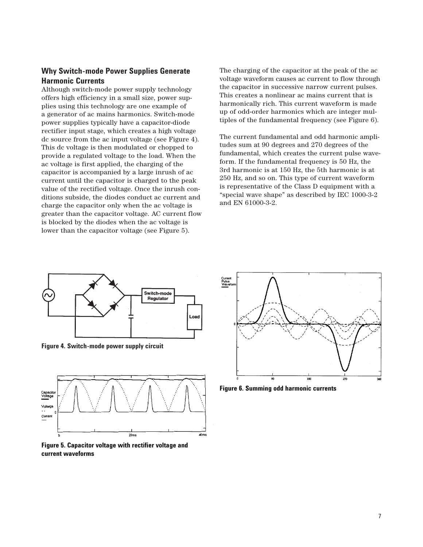## **Why Switch-mode Power Supplies Generate Harmonic Currents**

Although switch-mode power supply technology offers high efficiency in a small size, power supplies using this technology are one example of a generator of ac mains harmonics. Switch-mode power supplies typically have a capacitor-diode rectifier input stage, which creates a high voltage dc source from the ac input voltage (see Figure 4). This dc voltage is then modulated or chopped to provide a regulated voltage to the load. When the ac voltage is first applied, the charging of the capacitor is accompanied by a large inrush of ac current until the capacitor is charged to the peak value of the rectified voltage. Once the inrush conditions subside, the diodes conduct ac current and charge the capacitor only when the ac voltage is greater than the capacitor voltage. AC current flow is blocked by the diodes when the ac voltage is lower than the capacitor voltage (see Figure 5).

The charging of the capacitor at the peak of the ac voltage waveform causes ac current to flow through the capacitor in successive narrow current pulses. This creates a nonlinear ac mains current that is harmonically rich. This current waveform is made up of odd-order harmonics which are integer multiples of the fundamental frequency (see Figure 6).

The current fundamental and odd harmonic amplitudes sum at 90 degrees and 270 degrees of the fundamental, which creates the current pulse waveform. If the fundamental frequency is 50 Hz, the 3rd harmonic is at 150 Hz, the 5th harmonic is at 250 Hz, and so on. This type of current waveform is representative of the Class D equipment with a "special wave shape" as described by IEC 1000-3-2 and EN 61000-3-2.



**Figure 4. Switch-mode power supply circuit**



**Figure 5. Capacitor voltage with rectifier voltage and current waveforms**



**Figure 6. Summing odd harmonic currents**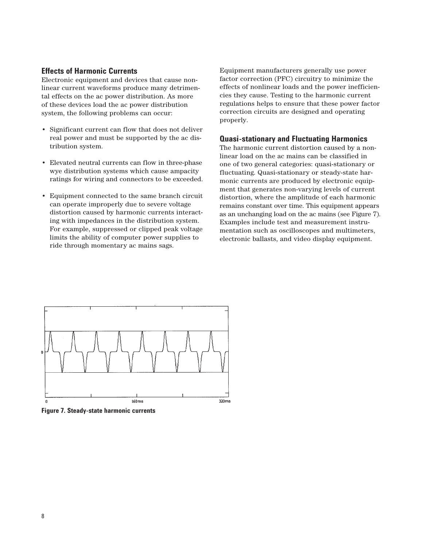#### **Effects of Harmonic Currents**

Electronic equipment and devices that cause nonlinear current waveforms produce many detrimental effects on the ac power distribution. As more of these devices load the ac power distribution system, the following problems can occur:

- Significant current can flow that does not deliver real power and must be supported by the ac distribution system.
- Elevated neutral currents can flow in three-phase wye distribution systems which cause ampacity ratings for wiring and connectors to be exceeded.
- Equipment connected to the same branch circuit can operate improperly due to severe voltage distortion caused by harmonic currents interacting with impedances in the distribution system. For example, suppressed or clipped peak voltage limits the ability of computer power supplies to ride through momentary ac mains sags.

Equipment manufacturers generally use power factor correction (PFC) circuitry to minimize the effects of nonlinear loads and the power inefficiencies they cause. Testing to the harmonic current regulations helps to ensure that these power factor correction circuits are designed and operating properly.

#### **Quasi-stationary and Fluctuating Harmonics**

The harmonic current distortion caused by a nonlinear load on the ac mains can be classified in one of two general categories: quasi-stationary or fluctuating. Quasi-stationary or steady-state harmonic currents are produced by electronic equipment that generates non-varying levels of current distortion, where the amplitude of each harmonic remains constant over time. This equipment appears as an unchanging load on the ac mains (see Figure 7). Examples include test and measurement instrumentation such as oscilloscopes and multimeters, electronic ballasts, and video display equipment.



**Figure 7. Steady-state harmonic currents**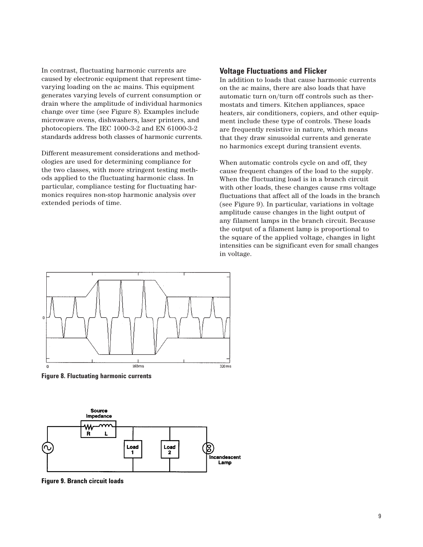In contrast, fluctuating harmonic currents are caused by electronic equipment that represent timevarying loading on the ac mains. This equipment generates varying levels of current consumption or drain where the amplitude of individual harmonics change over time (see Figure 8). Examples include microwave ovens, dishwashers, laser printers, and photocopiers. The IEC 1000-3-2 and EN 61000-3-2 standards address both classes of harmonic currents.

Different measurement considerations and methodologies are used for determining compliance for the two classes, with more stringent testing methods applied to the fluctuating harmonic class. In particular, compliance testing for fluctuating harmonics requires non-stop harmonic analysis over extended periods of time.

#### **Voltage Fluctuations and Flicker**

In addition to loads that cause harmonic currents on the ac mains, there are also loads that have automatic turn on/turn off controls such as thermostats and timers. Kitchen appliances, space heaters, air conditioners, copiers, and other equipment include these type of controls. These loads are frequently resistive in nature, which means that they draw sinusoidal currents and generate no harmonics except during transient events.

When automatic controls cycle on and off, they cause frequent changes of the load to the supply. When the fluctuating load is in a branch circuit with other loads, these changes cause rms voltage fluctuations that affect all of the loads in the branch (see Figure 9). In particular, variations in voltage amplitude cause changes in the light output of any filament lamps in the branch circuit. Because the output of a filament lamp is proportional to the square of the applied voltage, changes in light intensities can be significant even for small changes in voltage.



**Figure 8. Fluctuating harmonic currents**



**Figure 9. Branch circuit loads**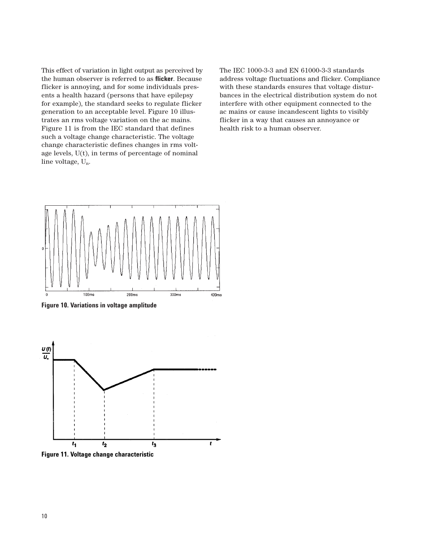This effect of variation in light output as perceived by the human observer is referred to as **flicker**. Because flicker is annoying, and for some individuals presents a health hazard (persons that have epilepsy for example), the standard seeks to regulate flicker generation to an acceptable level. Figure 10 illustrates an rms voltage variation on the ac mains. Figure 11 is from the IEC standard that defines such a voltage change characteristic. The voltage change characteristic defines changes in rms voltage levels, U(t), in terms of percentage of nominal line voltage, Un.

The IEC 1000-3-3 and EN 61000-3-3 standards address voltage fluctuations and flicker. Compliance with these standards ensures that voltage disturbances in the electrical distribution system do not interfere with other equipment connected to the ac mains or cause incandescent lights to visibly flicker in a way that causes an annoyance or health risk to a human observer.



**Figure 10. Variations in voltage amplitude**



**Figure 11. Voltage change characteristic**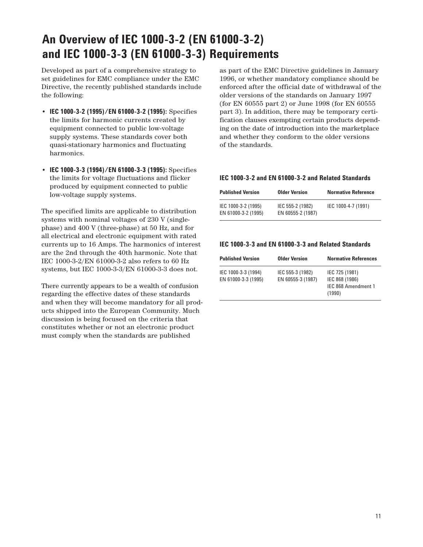# **An Overview of IEC 1000-3-2 (EN 61000-3-2) and IEC 1000-3-3 (EN 61000-3-3) Requirements**

Developed as part of a comprehensive strategy to set guidelines for EMC compliance under the EMC Directive, the recently published standards include the following:

- **IEC 1000-3-2 (1995)/EN 61000-3-2 (1995):** Specifies the limits for harmonic currents created by equipment connected to public low-voltage supply systems. These standards cover both quasi-stationary harmonics and fluctuating harmonics.
- **IEC 1000-3-3 (1994)/EN 61000-3-3 (1995):** Specifies the limits for voltage fluctuations and flicker produced by equipment connected to public low-voltage supply systems.

The specified limits are applicable to distribution systems with nominal voltages of 230 V (singlephase) and 400 V (three-phase) at 50 Hz, and for all electrical and electronic equipment with rated currents up to 16 Amps. The harmonics of interest are the 2nd through the 40th harmonic. Note that IEC 1000-3-2/EN 61000-3-2 also refers to 60 Hz systems, but IEC 1000-3-3/EN 61000-3-3 does not.

There currently appears to be a wealth of confusion regarding the effective dates of these standards and when they will become mandatory for all products shipped into the European Community. Much discussion is being focused on the criteria that constitutes whether or not an electronic product must comply when the standards are published

as part of the EMC Directive guidelines in January 1996, or whether mandatory compliance should be enforced after the official date of withdrawal of the older versions of the standards on January 1997 (for EN 60555 part 2) or June 1998 (for EN 60555 part 3). In addition, there may be temporary certification clauses exempting certain products depending on the date of introduction into the marketplace and whether they conform to the older versions of the standards.

#### **IEC 1000-3-2 and EN 61000-3-2 and Related Standards**

| <b>Published Version</b>                   | <b>Older Version</b>                  | <b>Normative Reference</b> |
|--------------------------------------------|---------------------------------------|----------------------------|
| IEC 1000-3-2 (1995)<br>EN 61000-3-2 (1995) | IEC 555-2 (1982)<br>EN 60555-2 (1987) | IEC 1000-4-7 (1991)        |

#### **IEC 1000-3-3 and EN 61000-3-3 and Related Standards**

| <b>Published Version</b>                   | <b>Older Version</b>                  | <b>Normative References</b>                                       |
|--------------------------------------------|---------------------------------------|-------------------------------------------------------------------|
| IEC 1000-3-3 (1994)<br>EN 61000-3-3 (1995) | IEC 555-3 (1982)<br>EN 60555-3 (1987) | IEC 725 (1981)<br>IEC 868 (1986)<br>IEC 868 Amendment 1<br>(1990) |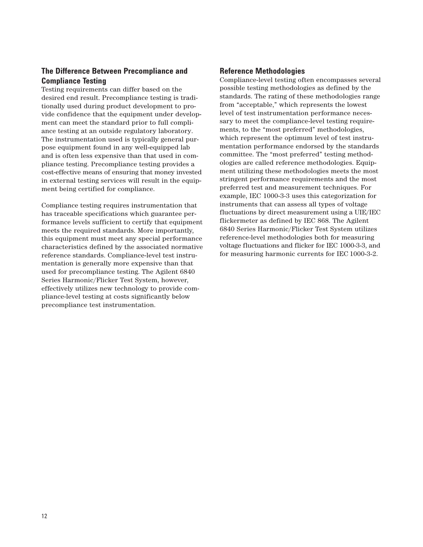## **The Difference Between Precompliance and Compliance Testing**

Testing requirements can differ based on the desired end result. Precompliance testing is traditionally used during product development to provide confidence that the equipment under development can meet the standard prior to full compliance testing at an outside regulatory laboratory. The instrumentation used is typically general purpose equipment found in any well-equipped lab and is often less expensive than that used in compliance testing. Precompliance testing provides a cost-effective means of ensuring that money invested in external testing services will result in the equipment being certified for compliance.

Compliance testing requires instrumentation that has traceable specifications which guarantee performance levels sufficient to certify that equipment meets the required standards. More importantly, this equipment must meet any special performance characteristics defined by the associated normative reference standards. Compliance-level test instrumentation is generally more expensive than that used for precompliance testing. The Agilent 6840 Series Harmonic/Flicker Test System, however, effectively utilizes new technology to provide compliance-level testing at costs significantly below precompliance test instrumentation.

## **Reference Methodologies**

Compliance-level testing often encompasses several possible testing methodologies as defined by the standards. The rating of these methodologies range from "acceptable," which represents the lowest level of test instrumentation performance necessary to meet the compliance-level testing requirements, to the "most preferred" methodologies, which represent the optimum level of test instrumentation performance endorsed by the standards committee. The "most preferred" testing methodologies are called reference methodologies. Equipment utilizing these methodologies meets the most stringent performance requirements and the most preferred test and measurement techniques. For example, IEC 1000-3-3 uses this categorization for instruments that can assess all types of voltage fluctuations by direct measurement using a UIE/IEC flickermeter as defined by IEC 868. The Agilent 6840 Series Harmonic/Flicker Test System utilizes reference-level methodologies both for measuring voltage fluctuations and flicker for IEC 1000-3-3, and for measuring harmonic currents for IEC 1000-3-2.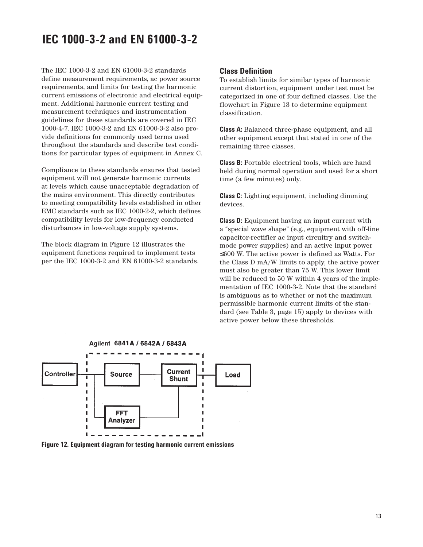## **IEC 1000-3-2 and EN 61000-3-2**

The IEC 1000-3-2 and EN 61000-3-2 standards define measurement requirements, ac power source requirements, and limits for testing the harmonic current emissions of electronic and electrical equipment. Additional harmonic current testing and measurement techniques and instrumentation guidelines for these standards are covered in IEC 1000-4-7. IEC 1000-3-2 and EN 61000-3-2 also provide definitions for commonly used terms used throughout the standards and describe test conditions for particular types of equipment in Annex C.

Compliance to these standards ensures that tested equipment will not generate harmonic currents at levels which cause unacceptable degradation of the mains environment. This directly contributes to meeting compatibility levels established in other EMC standards such as IEC 1000-2-2, which defines compatibility levels for low-frequency conducted disturbances in low-voltage supply systems.

The block diagram in Figure 12 illustrates the equipment functions required to implement tests per the IEC 1000-3-2 and EN 61000-3-2 standards.

#### **Class Definition**

To establish limits for similar types of harmonic current distortion, equipment under test must be categorized in one of four defined classes. Use the flowchart in Figure 13 to determine equipment classification.

**Class A:** Balanced three-phase equipment, and all other equipment except that stated in one of the remaining three classes.

**Class B:** Portable electrical tools, which are hand held during normal operation and used for a short time (a few minutes) only.

**Class C:** Lighting equipment, including dimming devices.

**Class D:** Equipment having an input current with a "special wave shape" (e.g., equipment with off-line capacitor-rectifier ac input circuitry and switchmode power supplies) and an active input power ≤600 W. The active power is defined as Watts. For the Class D mA/W limits to apply, the active power must also be greater than 75 W. This lower limit will be reduced to 50 W within 4 years of the implementation of IEC 1000-3-2. Note that the standard is ambiguous as to whether or not the maximum permissible harmonic current limits of the standard (see Table 3, page 15) apply to devices with active power below these thresholds.



**Figure 12. Equipment diagram for testing harmonic current emissions**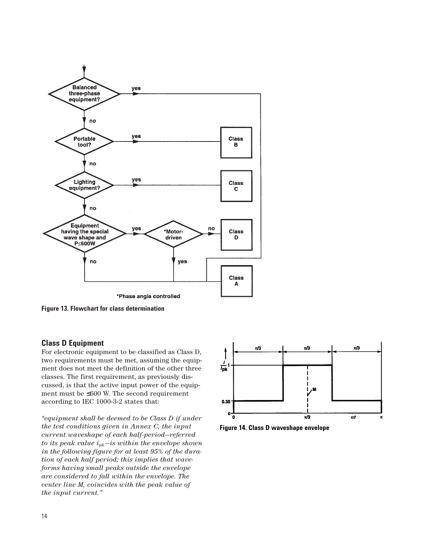

**Figure 13. Flowchart for class determination**

## **Class D Equipment**

For electronic equipment to be classified as Class D, two requirements must be met, assuming the equipment does not meet the definition of the other three classes. The first requirement, as previously discussed, is that the active input power of the equipment must be ≤600 W. The second requirement according to IEC 1000-3-2 states that:

*"equipment shall be deemed to be Class D if under the test conditions given in Annex C, the input current waveshape of each half-period—referred to its peak value ipk—is within the envelope shown in the following figure for at least 95% of the duration of each half period; this implies that waveforms having small peaks outside the envelope are considered to fall within the envelope. The center line M, coincides with the peak value of the input current."*



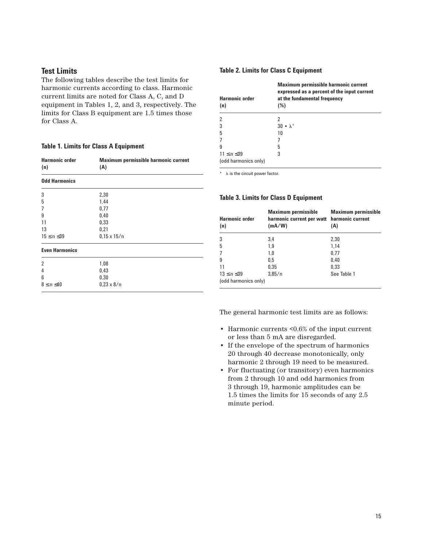#### **Test Limits**

The following tables describe the test limits for harmonic currents according to class. Harmonic current limits are noted for Class A, C, and D equipment in Tables 1, 2, and 3, respectively. The limits for Class B equipment are 1.5 times those for Class A.

#### **Table 1. Limits for Class A Equipment**

| <b>Harmonic order</b><br>(n) | Maximum permissible harmonic current<br>(A) |
|------------------------------|---------------------------------------------|
| <b>Odd Harmonics</b>         |                                             |
| 3                            | 2,30                                        |
| 5                            | 1,44                                        |
| 7                            | 0,77                                        |
| 9                            | 0,40                                        |
| 11                           | 0,33                                        |
| 13                           | 0,21                                        |
| $15 \le n \le 39$            | $0.15 \times 15/n$                          |
| <b>Even Harmonics</b>        |                                             |
| $\overline{2}$               | 1,08                                        |
| 4                            | 0,43                                        |
| 6                            | 0,30                                        |
| $8 \le n \le 40$             | $0.23 \times 8/n$                           |

#### **Table 2. Limits for Class C Equipment**

| <b>Harmonic order</b><br>(n)              | <b>Maximum permissible harmonic current</b><br>expressed as a percent of the input current<br>at the fundamental frequency<br>(%) |
|-------------------------------------------|-----------------------------------------------------------------------------------------------------------------------------------|
|                                           | 2                                                                                                                                 |
| 3                                         | $30 \cdot \lambda^*$                                                                                                              |
| 5                                         | 10                                                                                                                                |
|                                           |                                                                                                                                   |
| 9                                         | 5                                                                                                                                 |
| $11 \le n \le 39$<br>(odd harmonics only) | 3                                                                                                                                 |

 $*$   $\lambda$  is the circuit power factor.

### **Table 3. Limits for Class D Equipment**

| <b>Harmonic order</b><br>(n) | <b>Maximum permissible</b><br>harmonic current per watt harmonic current<br>(mA/W) | <b>Maximum permissible</b><br>(A) |
|------------------------------|------------------------------------------------------------------------------------|-----------------------------------|
| 3                            | 3,4                                                                                | 2.30                              |
| 5                            | 1.9                                                                                | 1.14                              |
| 7                            | 1.0                                                                                | 0.77                              |
| 9                            | 0.5                                                                                | 0.40                              |
| 11                           | 0.35                                                                               | 0.33                              |
| $13 \le n \le 39$            | 3.85/n                                                                             | See Table 1                       |
| (odd harmonics only)         |                                                                                    |                                   |

The general harmonic test limits are as follows:

- Harmonic currents <0.6% of the input current or less than 5 mA are disregarded.
- If the envelope of the spectrum of harmonics 20 through 40 decrease monotonically, only harmonic 2 through 19 need to be measured.
- For fluctuating (or transitory) even harmonics from 2 through 10 and odd harmonics from 3 through 19, harmonic amplitudes can be 1.5 times the limits for 15 seconds of any 2.5 minute period.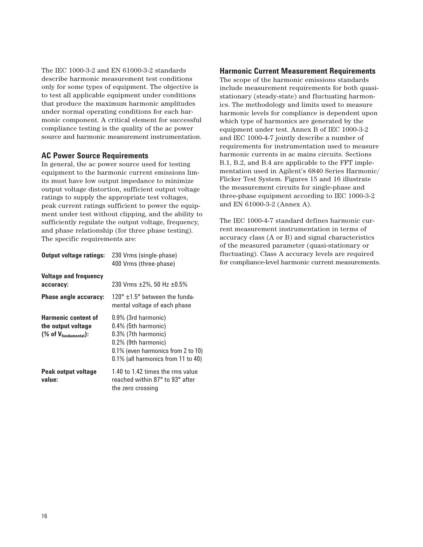The IEC 1000-3-2 and EN 61000-3-2 standards describe harmonic measurement test conditions only for some types of equipment. The objective is to test all applicable equipment under conditions that produce the maximum harmonic amplitudes under normal operating conditions for each harmonic component. A critical element for successful compliance testing is the quality of the ac power source and harmonic measurement instrumentation.

## **AC Power Source Requirements**

In general, the ac power source used for testing equipment to the harmonic current emissions limits must have low output impedance to minimize output voltage distortion, sufficient output voltage ratings to supply the appropriate test voltages, peak current ratings sufficient to power the equipment under test without clipping, and the ability to sufficiently regulate the output voltage, frequency, and phase relationship (for three phase testing). The specific requirements are:

| <b>Output voltage ratings:</b>                                                                                     | 230 Vrms (single-phase)<br>400 Vrms (three-phase)                                                                                                                       |
|--------------------------------------------------------------------------------------------------------------------|-------------------------------------------------------------------------------------------------------------------------------------------------------------------------|
| <b>Voltage and frequency</b><br>accuracy:<br>Phase angle accuracy:                                                 | 230 Vrms $\pm 2\%$ , 50 Hz $\pm 0.5\%$<br>$120^{\circ}$ +1.5 $^{\circ}$ between the funda-<br>mental voltage of each phase                                              |
| <b>Harmonic content of</b><br>the output voltage<br>$(% \mathcal{L}_{\text{2}})$ (% of $V_{\text{fundamental}}$ ): | $0.9\%$ (3rd harmonic)<br>0.4% (5th harmonic)<br>0.3% (7th harmonic)<br>0.2% (9th harmonic)<br>0.1% (even harmonics from 2 to 10)<br>0.1% (all harmonics from 11 to 40) |
| Peak output voltage<br>value:                                                                                      | 1.40 to 1.42 times the rms value<br>reached within 87° to 93° after<br>the zero crossing                                                                                |

### **Harmonic Current Measurement Requirements**

The scope of the harmonic emissions standards include measurement requirements for both quasistationary (steady-state) and fluctuating harmonics. The methodology and limits used to measure harmonic levels for compliance is dependent upon which type of harmonics are generated by the equipment under test. Annex B of IEC 1000-3-2 and IEC 1000-4-7 jointly describe a number of requirements for instrumentation used to measure harmonic currents in ac mains circuits. Sections B.1, B.2, and B.4 are applicable to the FFT implementation used in Agilent's 6840 Series Harmonic/ Flicker Test System. Figures 15 and 16 illustrate the measurement circuits for single-phase and three-phase equipment according to IEC 1000-3-2 and EN 61000-3-2 (Annex A).

The IEC 1000-4-7 standard defines harmonic current measurement instrumentation in terms of accuracy class (A or B) and signal characteristics of the measured parameter (quasi-stationary or fluctuating). Class A accuracy levels are required for compliance-level harmonic current measurements.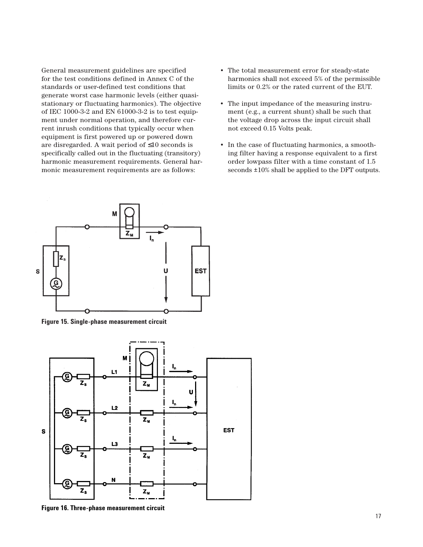General measurement guidelines are specified for the test conditions defined in Annex C of the standards or user-defined test conditions that generate worst case harmonic levels (either quasistationary or fluctuating harmonics). The objective of IEC 1000-3-2 and EN 61000-3-2 is to test equipment under normal operation, and therefore current inrush conditions that typically occur when equipment is first powered up or powered down are disregarded. A wait period of ≤10 seconds is specifically called out in the fluctuating (transitory) harmonic measurement requirements. General harmonic measurement requirements are as follows:



**Figure 15. Single-phase measurement circuit**



**Figure 16. Three-phase measurement circuit**

- The total measurement error for steady-state harmonics shall not exceed 5% of the permissible limits or 0.2% or the rated current of the EUT.
- The input impedance of the measuring instrument (e.g., a current shunt) shall be such that the voltage drop across the input circuit shall not exceed 0.15 Volts peak.
- In the case of fluctuating harmonics, a smoothing filter having a response equivalent to a first order lowpass filter with a time constant of 1.5 seconds ±10% shall be applied to the DFT outputs.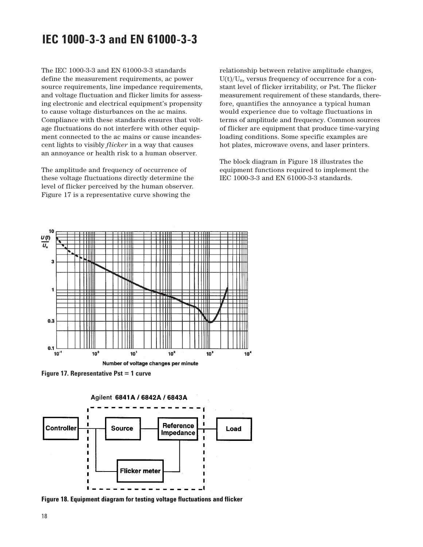## **IEC 1000-3-3 and EN 61000-3-3**

The IEC 1000-3-3 and EN 61000-3-3 standards define the measurement requirements, ac power source requirements, line impedance requirements, and voltage fluctuation and flicker limits for assessing electronic and electrical equipment's propensity to cause voltage disturbances on the ac mains. Compliance with these standards ensures that voltage fluctuations do not interfere with other equipment connected to the ac mains or cause incandescent lights to visibly *flicker* in a way that causes an annoyance or health risk to a human observer.

The amplitude and frequency of occurrence of these voltage fluctuations directly determine the level of flicker perceived by the human observer. Figure 17 is a representative curve showing the

relationship between relative amplitude changes,  $U(t)/U_n$ , versus frequency of occurrence for a constant level of flicker irritability, or Pst. The flicker measurement requirement of these standards, therefore, quantifies the annoyance a typical human would experience due to voltage fluctuations in terms of amplitude and frequency. Common sources of flicker are equipment that produce time-varying loading conditions. Some specific examples are hot plates, microwave ovens, and laser printers.

The block diagram in Figure 18 illustrates the equipment functions required to implement the IEC 1000-3-3 and EN 61000-3-3 standards.



**Figure 17. Representative Pst = 1 curve**

Agilent 6841A / 6842A / 6843A



**Figure 18. Equipment diagram for testing voltage fluctuations and flicker**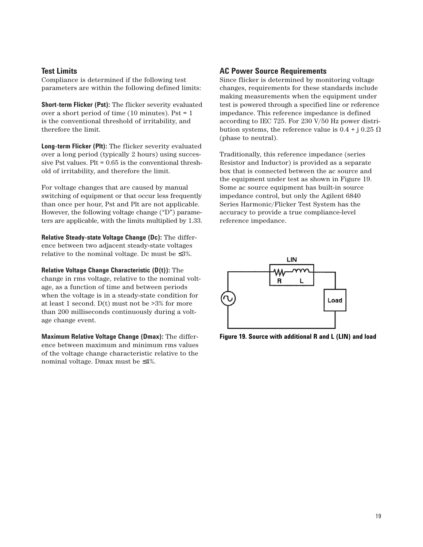#### **Test Limits**

Compliance is determined if the following test parameters are within the following defined limits:

**Short-term Flicker (Pst):** The flicker severity evaluated over a short period of time (10 minutes). Pst = 1 is the conventional threshold of irritability, and therefore the limit.

**Long-term Flicker (Plt):** The flicker severity evaluated over a long period (typically 2 hours) using successive Pst values. Plt = 0.65 is the conventional threshold of irritability, and therefore the limit.

For voltage changes that are caused by manual switching of equipment or that occur less frequently than once per hour, Pst and Plt are not applicable. However, the following voltage change ("D") parameters are applicable, with the limits multiplied by 1.33.

**Relative Steady-state Voltage Change (Dc):** The difference between two adjacent steady-state voltages relative to the nominal voltage. Dc must be  $\leq 3\%$ .

**Relative Voltage Change Characteristic (D(t)):** The change in rms voltage, relative to the nominal voltage, as a function of time and between periods when the voltage is in a steady-state condition for at least 1 second. D(t) must not be >3% for more than 200 milliseconds continuously during a voltage change event.

**Maximum Relative Voltage Change (Dmax):** The difference between maximum and minimum rms values of the voltage change characteristic relative to the nominal voltage. Dmax must be ≤4%.

#### **AC Power Source Requirements**

Since flicker is determined by monitoring voltage changes, requirements for these standards include making measurements when the equipment under test is powered through a specified line or reference impedance. This reference impedance is defined according to IEC 725. For 230 V/50 Hz power distribution systems, the reference value is  $0.4 + j 0.25 \Omega$ (phase to neutral).

Traditionally, this reference impedance (series Resistor and Inductor) is provided as a separate box that is connected between the ac source and the equipment under test as shown in Figure 19. Some ac source equipment has built-in source impedance control, but only the Agilent 6840 Series Harmonic/Flicker Test System has the accuracy to provide a true compliance-level reference impedance.



**Figure 19. Source with additional R and L (LIN) and load**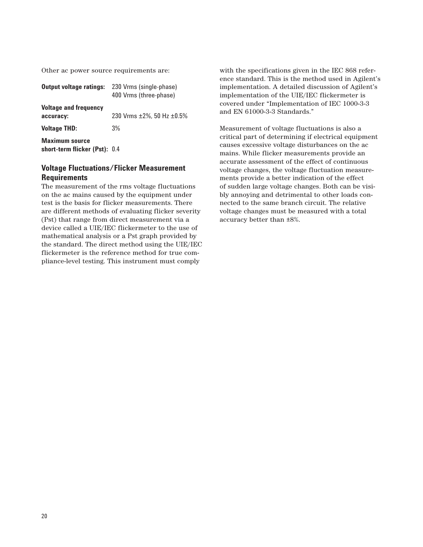Other ac power source requirements are:

| <b>Output voltage ratings:</b>                         | 230 Vrms (single-phase)<br>400 Vrms (three-phase) |
|--------------------------------------------------------|---------------------------------------------------|
| <b>Voltage and frequency</b><br>accuracy:              | 230 Vrms $\pm 2\%$ , 50 Hz $\pm 0.5\%$            |
| <b>Voltage THD:</b>                                    | 3%                                                |
| <b>Maximum source</b><br>short-term flicker (Pst): 0.4 |                                                   |

## **Voltage Fluctuations/Flicker Measurement Requirements**

The measurement of the rms voltage fluctuations on the ac mains caused by the equipment under test is the basis for flicker measurements. There are different methods of evaluating flicker severity (Pst) that range from direct measurement via a device called a UIE/IEC flickermeter to the use of mathematical analysis or a Pst graph provided by the standard. The direct method using the UIE/IEC flickermeter is the reference method for true compliance-level testing. This instrument must comply

with the specifications given in the IEC 868 reference standard. This is the method used in Agilent's implementation. A detailed discussion of Agilent's implementation of the UIE/IEC flickermeter is covered under "Implementation of IEC 1000-3-3 and EN 61000-3-3 Standards."

Measurement of voltage fluctuations is also a critical part of determining if electrical equipment causes excessive voltage disturbances on the ac mains. While flicker measurements provide an accurate assessment of the effect of continuous voltage changes, the voltage fluctuation measurements provide a better indication of the effect of sudden large voltage changes. Both can be visibly annoying and detrimental to other loads connected to the same branch circuit. The relative voltage changes must be measured with a total accuracy better than ±8%.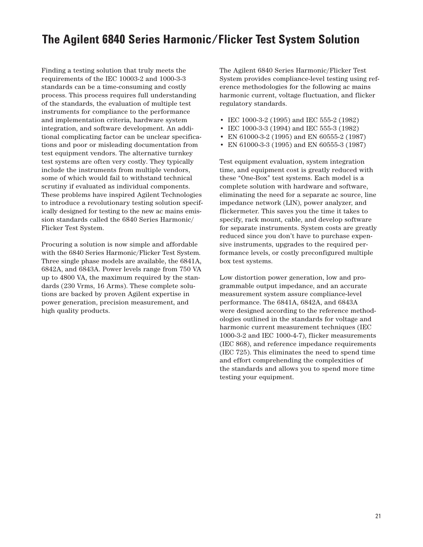## **The Agilent 6840 Series Harmonic/Flicker Test System Solution**

Finding a testing solution that truly meets the requirements of the IEC 10003-2 and 1000-3-3 standards can be a time-consuming and costly process. This process requires full understanding of the standards, the evaluation of multiple test instruments for compliance to the performance and implementation criteria, hardware system integration, and software development. An additional complicating factor can be unclear specifications and poor or misleading documentation from test equipment vendors. The alternative turnkey test systems are often very costly. They typically include the instruments from multiple vendors, some of which would fail to withstand technical scrutiny if evaluated as individual components. These problems have inspired Agilent Technologies to introduce a revolutionary testing solution specifically designed for testing to the new ac mains emission standards called the 6840 Series Harmonic/ Flicker Test System.

Procuring a solution is now simple and affordable with the 6840 Series Harmonic/Flicker Test System. Three single phase models are available, the 6841A, 6842A, and 6843A. Power levels range from 750 VA up to 4800 VA, the maximum required by the standards (230 Vrms, 16 Arms). These complete solutions are backed by proven Agilent expertise in power generation, precision measurement, and high quality products.

The Agilent 6840 Series Harmonic/Flicker Test System provides compliance-level testing using reference methodologies for the following ac mains harmonic current, voltage fluctuation, and flicker regulatory standards.

- IEC 1000-3-2 (1995) and IEC 555-2 (1982)
- IEC 1000-3-3 (1994) and IEC 555-3 (1982)
- EN 61000-3-2 (1995) and EN 60555-2 (1987)
- EN 61000-3-3 (1995) and EN 60555-3 (1987)

Test equipment evaluation, system integration time, and equipment cost is greatly reduced with these "One-Box" test systems. Each model is a complete solution with hardware and software, eliminating the need for a separate ac source, line impedance network (LIN), power analyzer, and flickermeter. This saves you the time it takes to specify, rack mount, cable, and develop software for separate instruments. System costs are greatly reduced since you don't have to purchase expensive instruments, upgrades to the required performance levels, or costly preconfigured multiple box test systems.

Low distortion power generation, low and programmable output impedance, and an accurate measurement system assure compliance-level performance. The 6841A, 6842A, and 6843A were designed according to the reference methodologies outlined in the standards for voltage and harmonic current measurement techniques (IEC 1000-3-2 and IEC 1000-4-7), flicker measurements (IEC 868), and reference impedance requirements (IEC 725). This eliminates the need to spend time and effort comprehending the complexities of the standards and allows you to spend more time testing your equipment.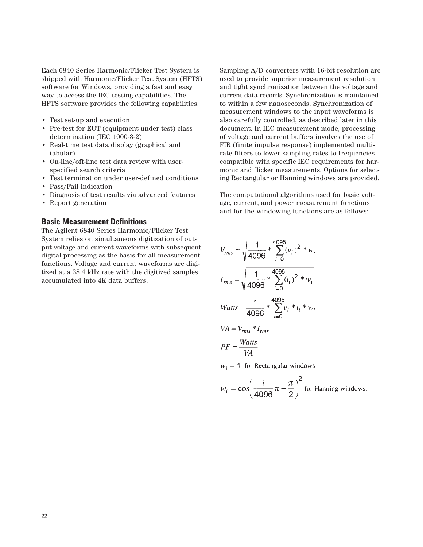Each 6840 Series Harmonic/Flicker Test System is shipped with Harmonic/Flicker Test System (HFTS) software for Windows, providing a fast and easy way to access the IEC testing capabilities. The HFTS software provides the following capabilities:

- Test set-up and execution
- Pre-test for EUT (equipment under test) class determination (IEC 1000-3-2)
- Real-time test data display (graphical and tabular)
- On-line/off-line test data review with userspecified search criteria
- Test termination under user-defined conditions
- Pass/Fail indication
- Diagnosis of test results via advanced features
- Report generation

#### **Basic Measurement Definitions**

The Agilent 6840 Series Harmonic/Flicker Test System relies on simultaneous digitization of output voltage and current waveforms with subsequent digital processing as the basis for all measurement functions. Voltage and current waveforms are digitized at a 38.4 kHz rate with the digitized samples accumulated into 4K data buffers.

Sampling A/D converters with 16-bit resolution are used to provide superior measurement resolution and tight synchronization between the voltage and current data records. Synchronization is maintained to within a few nanoseconds. Synchronization of measurement windows to the input waveforms is also carefully controlled, as described later in this document. In IEC measurement mode, processing of voltage and current buffers involves the use of FIR (finite impulse response) implemented multirate filters to lower sampling rates to frequencies compatible with specific IEC requirements for harmonic and flicker measurements. Options for selecting Rectangular or Hanning windows are provided.

The computational algorithms used for basic voltage, current, and power measurement functions and for the windowing functions are as follows:

$$
V_{rms} = \sqrt{\frac{1}{4096} \times \sum_{i=0}^{4095} (v_i)^2 \times w_i}
$$
  
\n
$$
I_{rms} = \sqrt{\frac{1}{4096} \times \sum_{i=0}^{4095} (i_i)^2 \times w_i}
$$
  
\n
$$
Watts = \frac{1}{4096} \times \sum_{i=0}^{4095} v_i \times i_i \times w_i
$$
  
\n
$$
VA = V_{rms} \times I_{rms}
$$
  
\n
$$
p_E = Watts
$$

 $w_i = 1$  for Rectangular windows

VA

$$
w_i = \cos\left(\frac{i}{4096}\pi - \frac{\pi}{2}\right)^2
$$
 for Hanning windows.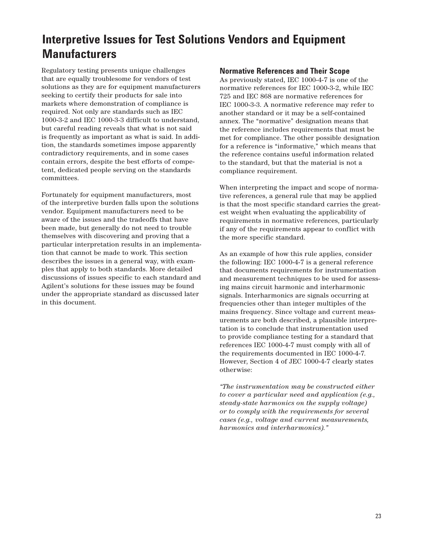# **Interpretive Issues for Test Solutions Vendors and Equipment Manufacturers**

Regulatory testing presents unique challenges that are equally troublesome for vendors of test solutions as they are for equipment manufacturers seeking to certify their products for sale into markets where demonstration of compliance is required. Not only are standards such as IEC 1000-3-2 and IEC 1000-3-3 difficult to understand, but careful reading reveals that what is not said is frequently as important as what is said. In addition, the standards sometimes impose apparently contradictory requirements, and in some cases contain errors, despite the best efforts of competent, dedicated people serving on the standards committees.

Fortunately for equipment manufacturers, most of the interpretive burden falls upon the solutions vendor. Equipment manufacturers need to be aware of the issues and the tradeoffs that have been made, but generally do not need to trouble themselves with discovering and proving that a particular interpretation results in an implementation that cannot be made to work. This section describes the issues in a general way, with examples that apply to both standards. More detailed discussions of issues specific to each standard and Agilent's solutions for these issues may be found under the appropriate standard as discussed later in this document.

### **Normative References and Their Scope**

As previously stated, IEC 1000-4-7 is one of the normative references for IEC 1000-3-2, while IEC 725 and IEC 868 are normative references for IEC 1000-3-3. A normative reference may refer to another standard or it may be a self-contained annex. The "normative" designation means that the reference includes requirements that must be met for compliance. The other possible designation for a reference is "informative," which means that the reference contains useful information related to the standard, but that the material is not a compliance requirement.

When interpreting the impact and scope of normative references, a general rule that may be applied is that the most specific standard carries the greatest weight when evaluating the applicability of requirements in normative references, particularly if any of the requirements appear to conflict with the more specific standard.

As an example of how this rule applies, consider the following: IEC 1000-4-7 is a general reference that documents requirements for instrumentation and measurement techniques to be used for assessing mains circuit harmonic and interharmonic signals. Interharmonics are signals occurring at frequencies other than integer multiples of the mains frequency. Since voltage and current measurements are both described, a plausible interpretation is to conclude that instrumentation used to provide compliance testing for a standard that references IEC 1000-4-7 must comply with all of the requirements documented in IEC 1000-4-7. However, Section 4 of JEC 1000-4-7 clearly states otherwise:

*"The instrumentation may be constructed either to cover a particular need and application (e.g., steady-state harmonics on the supply voltage) or to comply with the requirements for several cases (e.g., voltage and current measurements, harmonics and interharmonics)."*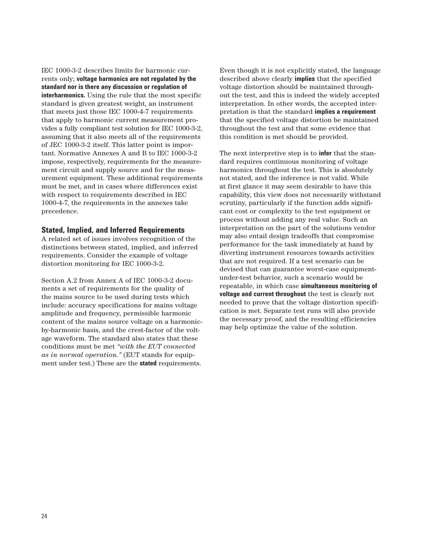IEC 1000-3-2 describes limits for harmonic currents only; **voltage harmonics are not regulated by the standard nor is there any discussion or regulation of interharmonics.** Using the rule that the most specific standard is given greatest weight, an instrument that meets just those IEC 1000-4-7 requirements that apply to harmonic current measurement provides a fully compliant test solution for IEC 1000-3-2, assuming that it also meets all of the requirements of JEC 1000-3-2 itself. This latter point is important. Normative Annexes A and B to IEC 1000-3-2 impose, respectively, requirements for the measurement circuit and supply source and for the measurement equipment. These additional requirements must be met, and in cases where differences exist with respect to requirements described in IEC 1000-4-7, the requirements in the annexes take precedence.

#### **Stated, Implied, and Inferred Requirements**

A related set of issues involves recognition of the distinctions between stated, implied, and inferred requirements. Consider the example of voltage distortion monitoring for IEC 1000-3-2.

Section A.2 from Annex A of IEC 1000-3-2 documents a set of requirements for the quality of the mains source to be used during tests which include: accuracy specifications for mains voltage amplitude and frequency, permissible harmonic content of the mains source voltage on a harmonicby-harmonic basis, and the crest-factor of the voltage waveform. The standard also states that these conditions must be met *"with the EUT connected as in normal operation."* (EUT stands for equipment under test.) These are the **stated** requirements.

Even though it is not explicitly stated, the language described above clearly **implies** that the specified voltage distortion should be maintained throughout the test, and this is indeed the widely accepted interpretation. In other words, the accepted interpretation is that the standard **implies a requirement** that the specified voltage distortion be maintained throughout the test and that some evidence that this condition is met should be provided.

The next interpretive step is to **infer** that the standard requires continuous monitoring of voltage harmonics throughout the test. This is absolutely not stated, and the inference is not valid. While at first glance it may seem desirable to have this capability, this view does not necessarily withstand scrutiny, particularly if the function adds significant cost or complexity to the test equipment or process without adding any real value. Such an interpretation on the part of the solutions vendor may also entail design tradeoffs that compromise performance for the task immediately at hand by diverting instrument resources towards activities that are not required. If a test scenario can be devised that can guarantee worst-case equipmentunder-test behavior, such a scenario would be repeatable, in which case **simultaneous monitoring of voltage and current throughout** the test is clearly not needed to prove that the voltage distortion specification is met. Separate test runs will also provide the necessary proof, and the resulting efficiencies may help optimize the value of the solution.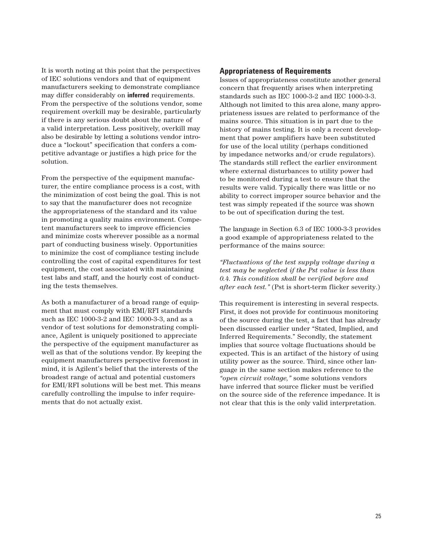It is worth noting at this point that the perspectives of IEC solutions vendors and that of equipment manufacturers seeking to demonstrate compliance may differ considerably on **inferred** requirements. From the perspective of the solutions vendor, some requirement overkill may be desirable, particularly if there is any serious doubt about the nature of a valid interpretation. Less positively, overkill may also be desirable by letting a solutions vendor introduce a "lockout" specification that confers a competitive advantage or justifies a high price for the solution.

From the perspective of the equipment manufacturer, the entire compliance process is a cost, with the minimization of cost being the goal. This is not to say that the manufacturer does not recognize the appropriateness of the standard and its value in promoting a quality mains environment. Competent manufacturers seek to improve efficiencies and minimize costs wherever possible as a normal part of conducting business wisely. Opportunities to minimize the cost of compliance testing include controlling the cost of capital expenditures for test equipment, the cost associated with maintaining test labs and staff, and the hourly cost of conducting the tests themselves.

As both a manufacturer of a broad range of equipment that must comply with EMI/RFI standards such as IEC 1000-3-2 and IEC 1000-3-3, and as a vendor of test solutions for demonstrating compliance, Agilent is uniquely positioned to appreciate the perspective of the equipment manufacturer as well as that of the solutions vendor. By keeping the equipment manufacturers perspective foremost in mind, it is Agilent's belief that the interests of the broadest range of actual and potential customers for EMI/RFI solutions will be best met. This means carefully controlling the impulse to infer requirements that do not actually exist.

#### **Appropriateness of Requirements**

Issues of appropriateness constitute another general concern that frequently arises when interpreting standards such as IEC 1000-3-2 and IEC 1000-3-3. Although not limited to this area alone, many appropriateness issues are related to performance of the mains source. This situation is in part due to the history of mains testing. It is only a recent development that power amplifiers have been substituted for use of the local utility (perhaps conditioned by impedance networks and/or crude regulators). The standards still reflect the earlier environment where external disturbances to utility power had to be monitored during a test to ensure that the results were valid. Typically there was little or no ability to correct improper source behavior and the test was simply repeated if the source was shown to be out of specification during the test.

The language in Section 6.3 of IEC 1000-3-3 provides a good example of appropriateness related to the performance of the mains source:

*"Fluctuations of the test supply voltage during a test may be neglected if the Pst value is less than 0.4. This condition shall be verified before and after each test."* (Pst is short-term flicker severity.)

This requirement is interesting in several respects. First, it does not provide for continuous monitoring of the source during the test, a fact that has already been discussed earlier under "Stated, Implied, and Inferred Requirements." Secondly, the statement implies that source voltage fluctuations should be expected. This is an artifact of the history of using utility power as the source. Third, since other language in the same section makes reference to the *"open circuit voltage,"* some solutions vendors have inferred that source flicker must be verified on the source side of the reference impedance. It is not clear that this is the only valid interpretation.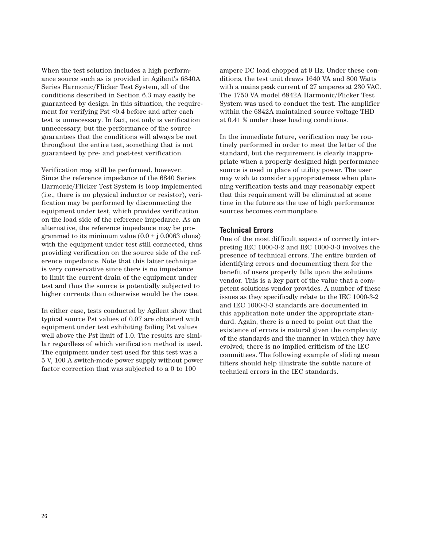When the test solution includes a high performance source such as is provided in Agilent's 6840A Series Harmonic/Flicker Test System, all of the conditions described in Section 6.3 may easily be guaranteed by design. In this situation, the requirement for verifying Pst <0.4 before and after each test is unnecessary. In fact, not only is verification unnecessary, but the performance of the source guarantees that the conditions will always be met throughout the entire test, something that is not guaranteed by pre- and post-test verification.

Verification may still be performed, however. Since the reference impedance of the 6840 Series Harmonic/Flicker Test System is loop implemented (i.e., there is no physical inductor or resistor), verification may be performed by disconnecting the equipment under test, which provides verification on the load side of the reference impedance. As an alternative, the reference impedance may be programmed to its minimum value  $(0.0 + j 0.0063$  ohms) with the equipment under test still connected, thus providing verification on the source side of the reference impedance. Note that this latter technique is very conservative since there is no impedance to limit the current drain of the equipment under test and thus the source is potentially subjected to higher currents than otherwise would be the case.

In either case, tests conducted by Agilent show that typical source Pst values of 0.07 are obtained with equipment under test exhibiting failing Pst values well above the Pst limit of 1.0. The results are similar regardless of which verification method is used. The equipment under test used for this test was a 5 V, 100 A switch-mode power supply without power factor correction that was subjected to a 0 to 100

ampere DC load chopped at 9 Hz. Under these conditions, the test unit draws 1640 VA and 800 Watts with a mains peak current of 27 amperes at 230 VAC. The 1750 VA model 6842A Harmonic/Flicker Test System was used to conduct the test. The amplifier within the 6842A maintained source voltage THD at 0.41 % under these loading conditions.

In the immediate future, verification may be routinely performed in order to meet the letter of the standard, but the requirement is clearly inappropriate when a properly designed high performance source is used in place of utility power. The user may wish to consider appropriateness when planning verification tests and may reasonably expect that this requirement will be eliminated at some time in the future as the use of high performance sources becomes commonplace.

#### **Technical Errors**

One of the most difficult aspects of correctly interpreting IEC 1000-3-2 and IEC 1000-3-3 involves the presence of technical errors. The entire burden of identifying errors and documenting them for the benefit of users properly falls upon the solutions vendor. This is a key part of the value that a competent solutions vendor provides. A number of these issues as they specifically relate to the IEC 1000-3-2 and IEC 1000-3-3 standards are documented in this application note under the appropriate standard. Again, there is a need to point out that the existence of errors is natural given the complexity of the standards and the manner in which they have evolved; there is no implied criticism of the IEC committees. The following example of sliding mean filters should help illustrate the subtle nature of technical errors in the IEC standards.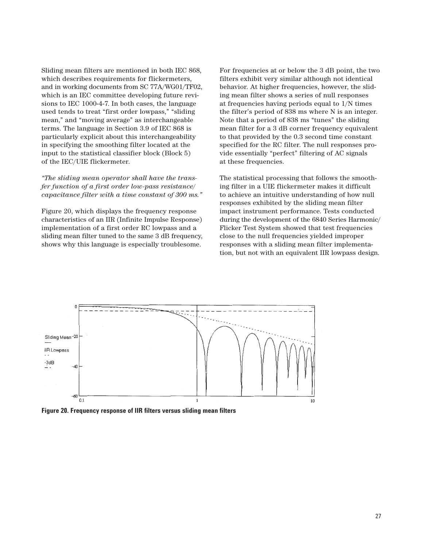Sliding mean filters are mentioned in both IEC 868, which describes requirements for flickermeters, and in working documents from SC 77A/WG01/TF02, which is an IEC committee developing future revisions to IEC 1000-4-7. In both cases, the language used tends to treat "first order lowpass," "sliding mean," and "moving average" as interchangeable terms. The language in Section 3.9 of IEC 868 is particularly explicit about this interchangeability in specifying the smoothing filter located at the input to the statistical classifier block (Block 5) of the IEC/UIE flickermeter.

#### *"The sliding mean operator shall have the transfer function of a first order low-pass resistance/ capacitance filter with a time constant of 300 ms."*

Figure 20, which displays the frequency response characteristics of an IIR (Infinite Impulse Response) implementation of a first order RC lowpass and a sliding mean filter tuned to the same 3 dB frequency, shows why this language is especially troublesome.

For frequencies at or below the 3 dB point, the two filters exhibit very similar although not identical behavior. At higher frequencies, however, the sliding mean filter shows a series of null responses at frequencies having periods equal to 1/N times the filter's period of 838 ms where N is an integer. Note that a period of 838 ms "tunes" the sliding mean filter for a 3 dB corner frequency equivalent to that provided by the 0.3 second time constant specified for the RC filter. The null responses provide essentially "perfect" filtering of AC signals at these frequencies.

The statistical processing that follows the smoothing filter in a UIE flickermeter makes it difficult to achieve an intuitive understanding of how null responses exhibited by the sliding mean filter impact instrument performance. Tests conducted during the development of the 6840 Series Harmonic/ Flicker Test System showed that test frequencies close to the null frequencies yielded improper responses with a sliding mean filter implementation, but not with an equivalent IIR lowpass design.



**Figure 20. Frequency response of IIR filters versus sliding mean filters**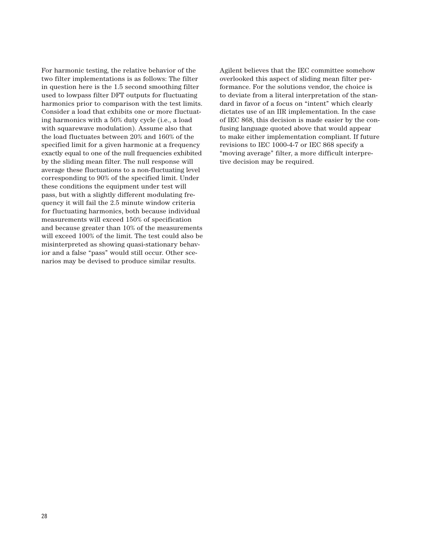For harmonic testing, the relative behavior of the two filter implementations is as follows: The filter in question here is the 1.5 second smoothing filter used to lowpass filter DFT outputs for fluctuating harmonics prior to comparison with the test limits. Consider a load that exhibits one or more fluctuating harmonics with a 50% duty cycle (i.e., a load with squarewave modulation). Assume also that the load fluctuates between 20% and 160% of the specified limit for a given harmonic at a frequency exactly equal to one of the null frequencies exhibited by the sliding mean filter. The null response will average these fluctuations to a non-fluctuating level corresponding to 90% of the specified limit. Under these conditions the equipment under test will pass, but with a slightly different modulating frequency it will fail the 2.5 minute window criteria for fluctuating harmonics, both because individual measurements will exceed 150% of specification and because greater than 10% of the measurements will exceed 100% of the limit. The test could also be misinterpreted as showing quasi-stationary behavior and a false "pass" would still occur. Other scenarios may be devised to produce similar results.

Agilent believes that the IEC committee somehow overlooked this aspect of sliding mean filter performance. For the solutions vendor, the choice is to deviate from a literal interpretation of the standard in favor of a focus on "intent" which clearly dictates use of an IIR implementation. In the case of IEC 868, this decision is made easier by the confusing language quoted above that would appear to make either implementation compliant. If future revisions to IEC 1000-4-7 or IEC 868 specify a "moving average" filter, a more difficult interpretive decision may be required.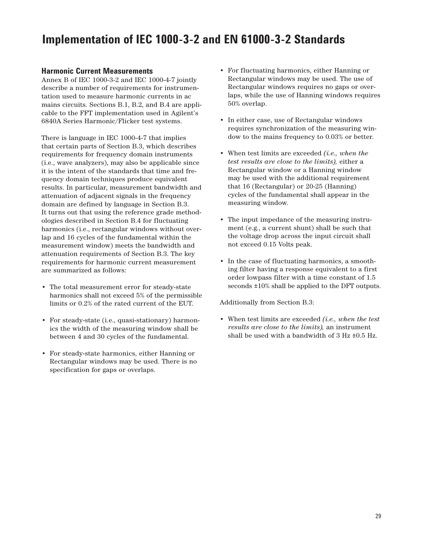## **Implementation of IEC 1000-3-2 and EN 61000-3-2 Standards**

## **Harmonic Current Measurements**

Annex B of IEC 1000-3-2 and IEC 1000-4-7 jointly describe a number of requirements for instrumentation used to measure harmonic currents in ac mains circuits. Sections B.1, B.2, and B.4 are applicable to the FFT implementation used in Agilent's 6840A Series Harmonic/Flicker test systems.

There is language in IEC 1000-4-7 that implies that certain parts of Section B.3, which describes requirements for frequency domain instruments (i.e., wave analyzers), may also be applicable since it is the intent of the standards that time and frequency domain techniques produce equivalent results. In particular, measurement bandwidth and attenuation of adjacent signals in the frequency domain are defined by language in Section B.3. It turns out that using the reference grade methodologies described in Section B.4 for fluctuating harmonics (i.e., rectangular windows without overlap and 16 cycles of the fundamental within the measurement window) meets the bandwidth and attenuation requirements of Section B.3. The key requirements for harmonic current measurement are summarized as follows:

- The total measurement error for steady-state harmonics shall not exceed 5% of the permissible limits or 0.2% of the rated current of the EUT.
- For steady-state (i.e., quasi-stationary) harmonics the width of the measuring window shall be between 4 and 30 cycles of the fundamental.
- For steady-state harmonics, either Hanning or Rectangular windows may be used. There is no specification for gaps or overlaps.
- For fluctuating harmonics, either Hanning or Rectangular windows may be used. The use of Rectangular windows requires no gaps or overlaps, while the use of Hanning windows requires 50% overlap.
- In either case, use of Rectangular windows requires synchronization of the measuring window to the mains frequency to 0.03% or better.
- When test limits are exceeded *(i.e., when the test results are close to the limits),* either a Rectangular window or a Hanning window may be used with the additional requirement that 16 (Rectangular) or 20-25 (Hanning) cycles of the fundamental shall appear in the measuring window.
- The input impedance of the measuring instrument (e.g., a current shunt) shall be such that the voltage drop across the input circuit shall not exceed 0.15 Volts peak.
- In the case of fluctuating harmonics, a smoothing filter having a response equivalent to a first order lowpass filter with a time constant of 1.5 seconds ±10% shall be applied to the DFT outputs.

Additionally from Section B.3:

• When test limits are exceeded *(i.e., when the test results are close to the limits),* an instrument shall be used with a bandwidth of  $3$  Hz  $\pm 0.5$  Hz.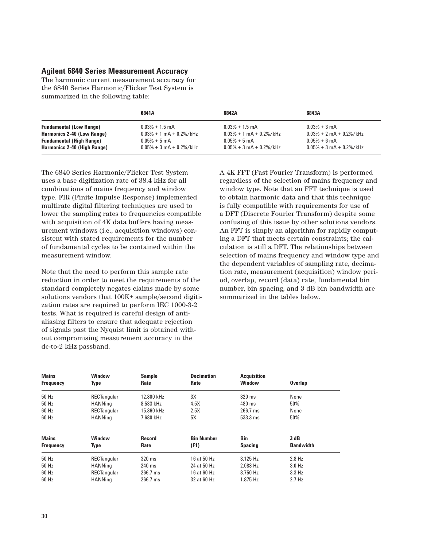### **Agilent 6840 Series Measurement Accuracy**

The harmonic current measurement accuracy for the 6840 Series Harmonic/Flicker Test System is summarized in the following table:

|                                   | 6841A                          | 6842A                          | 6843A                          |
|-----------------------------------|--------------------------------|--------------------------------|--------------------------------|
| <b>Fundamental (Low Range)</b>    | $0.03\% + 1.5$ mA              | $0.03% + 1.5$ mA               | $0.03% + 3 mA$                 |
| <b>Harmonics 2-40 (Low Range)</b> | $0.03\% + 1$ mA + 0.2%/kHz     | $0.03\% + 1$ mA + $0.2\%$ /kHz | $0.03\% + 2$ mA + $0.2\%$ /kHz |
| <b>Fundamental (High Range)</b>   | $0.05% + 5 \text{ mA}$         | $0.05% + 5 \text{ mA}$         | $0.05% + 6$ mA                 |
| Harmonics 2-40 (High Range)       | $0.05\% + 3$ mA + $0.2\%$ /kHz | $0.05\% + 3$ mA + 0.2%/kHz     | $0.05\% + 3$ mA + 0.2%/kHz     |

The 6840 Series Harmonic/Flicker Test System uses a base digitization rate of 38.4 kHz for all combinations of mains frequency and window type. FIR (Finite Impulse Response) implemented multirate digital filtering techniques are used to lower the sampling rates to frequencies compatible with acquisition of 4K data buffers having measurement windows (i.e., acquisition windows) consistent with stated requirements for the number of fundamental cycles to be contained within the measurement window.

Note that the need to perform this sample rate reduction in order to meet the requirements of the standard completely negates claims made by some solutions vendors that 100K+ sample/second digitization rates are required to perform IEC 1000-3-2 tests. What is required is careful design of antialiasing filters to ensure that adequate rejection of signals past the Nyquist limit is obtained without compromising measurement accuracy in the dc-to-2 kHz passband.

A 4K FFT (Fast Fourier Transform) is performed regardless of the selection of mains frequency and window type. Note that an FFT technique is used to obtain harmonic data and that this technique is fully compatible with requirements for use of a DFT (Discrete Fourier Transform) despite some confusing of this issue by other solutions vendors. An FFT is simply an algorithm for rapidly computing a DFT that meets certain constraints; the calculation is still a DFT. The relationships between selection of mains frequency and window type and the dependent variables of sampling rate, decimation rate, measurement (acquisition) window period, overlap, record (data) rate, fundamental bin number, bin spacing, and 3 dB bin bandwidth are summarized in the tables below.

| <b>Mains</b><br><b>Frequency</b> | Window<br>Type        | <b>Sample</b><br>Rate | <b>Decimation</b><br>Rate | <b>Acquisition</b><br><b>Window</b> | <b>Overlap</b>           |
|----------------------------------|-----------------------|-----------------------|---------------------------|-------------------------------------|--------------------------|
| 50 Hz                            | <b>RECTangular</b>    | 12.800 kHz            | 3X                        | 320 ms                              | None                     |
| 50 Hz                            | <b>HANNing</b>        | 8.533 kHz             | 4.5X                      | $480$ ms                            | 50%                      |
| 60 Hz                            | RECTangular           | 15.360 kHz            | 2.5X                      | $266.7$ ms                          | None                     |
| 60 Hz                            | <b>HANNing</b>        | 7.680 kHz             | 5Χ                        | 533.3 ms                            | 50%                      |
| <b>Mains</b><br><b>Frequency</b> | Window<br><b>Type</b> | <b>Record</b><br>Rate | <b>Bin Number</b><br>(F1) | Bin<br><b>Spacing</b>               | 3 dB<br><b>Bandwidth</b> |
| 50 Hz                            | <b>RECTangular</b>    | 320 ms                | 16 at 50 Hz               | $3.125$ Hz                          | $2.8$ Hz                 |
| 50 Hz                            | <b>HANNing</b>        | 240 ms                | 24 at 50 Hz               | 2.083 Hz                            | $3.0$ Hz                 |
| 60 Hz                            | <b>RECTangular</b>    | $266.7$ ms            | 16 at 60 Hz               | 3.750 Hz                            | $3.3$ Hz                 |
| 60 Hz                            | <b>HANNing</b>        | 266.7 ms              | 32 at 60 Hz               | 1.875 Hz                            | $2.7$ Hz                 |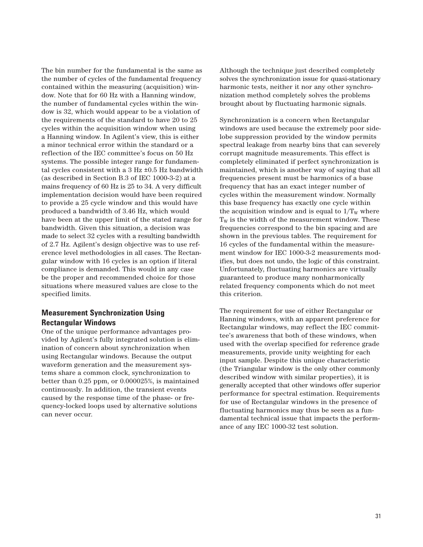The bin number for the fundamental is the same as the number of cycles of the fundamental frequency contained within the measuring (acquisition) window. Note that for 60 Hz with a Hanning window, the number of fundamental cycles within the window is 32, which would appear to be a violation of the requirements of the standard to have 20 to 25 cycles within the acquisition window when using a Hanning window. In Agilent's view, this is either a minor technical error within the standard or a reflection of the IEC committee's focus on 50 Hz systems. The possible integer range for fundamental cycles consistent with a 3 Hz ±0.5 Hz bandwidth (as described in Section B.3 of IEC 1000-3-2) at a mains frequency of 60 Hz is 25 to 34. A very difficult implementation decision would have been required to provide a 25 cycle window and this would have produced a bandwidth of 3.46 Hz, which would have been at the upper limit of the stated range for bandwidth. Given this situation, a decision was made to select 32 cycles with a resulting bandwidth of 2.7 Hz. Agilent's design objective was to use reference level methodologies in all cases. The Rectangular window with 16 cycles is an option if literal compliance is demanded. This would in any case be the proper and recommended choice for those situations where measured values are close to the specified limits.

## **Measurement Synchronization Using Rectangular Windows**

One of the unique performance advantages provided by Agilent's fully integrated solution is elimination of concern about synchronization when using Rectangular windows. Because the output waveform generation and the measurement systems share a common clock, synchronization to better than 0.25 ppm, or 0.000025%, is maintained continuously. In addition, the transient events caused by the response time of the phase- or frequency-locked loops used by alternative solutions can never occur.

Although the technique just described completely solves the synchronization issue for quasi-stationary harmonic tests, neither it nor any other synchronization method completely solves the problems brought about by fluctuating harmonic signals.

Synchronization is a concern when Rectangular windows are used because the extremely poor sidelobe suppression provided by the window permits spectral leakage from nearby bins that can severely corrupt magnitude measurements. This effect is completely eliminated if perfect synchronization is maintained, which is another way of saying that all frequencies present must be harmonics of a base frequency that has an exact integer number of cycles within the measurement window. Normally this base frequency has exactly one cycle within the acquisition window and is equal to  $1/T_w$  where  $T_W$  is the width of the measurement window. These frequencies correspond to the bin spacing and are shown in the previous tables. The requirement for 16 cycles of the fundamental within the measurement window for IEC 1000-3-2 measurements modifies, but does not undo, the logic of this constraint. Unfortunately, fluctuating harmonics are virtually guaranteed to produce many nonharmonically related frequency components which do not meet this criterion.

The requirement for use of either Rectangular or Hanning windows, with an apparent preference for Rectangular windows, may reflect the IEC committee's awareness that both of these windows, when used with the overlap specified for reference grade measurements, provide unity weighting for each input sample. Despite this unique characteristic (the Triangular window is the only other commonly described window with similar properties), it is generally accepted that other windows offer superior performance for spectral estimation. Requirements for use of Rectangular windows in the presence of fluctuating harmonics may thus be seen as a fundamental technical issue that impacts the performance of any IEC 1000-32 test solution.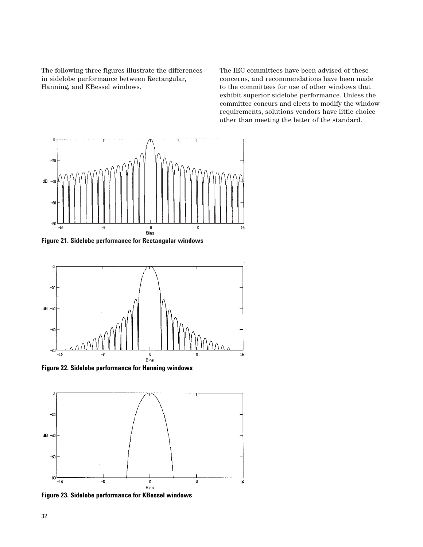The following three figures illustrate the differences in sidelobe performance between Rectangular, Hanning, and KBessel windows.

The IEC committees have been advised of these concerns, and recommendations have been made to the committees for use of other windows that exhibit superior sidelobe performance. Unless the committee concurs and elects to modify the window requirements, solutions vendors have little choice other than meeting the letter of the standard.



**Figure 21. Sidelobe performance for Rectangular windows**



**Figure 22. Sidelobe performance for Hanning windows**



**Figure 23. Sidelobe performance for KBessel windows**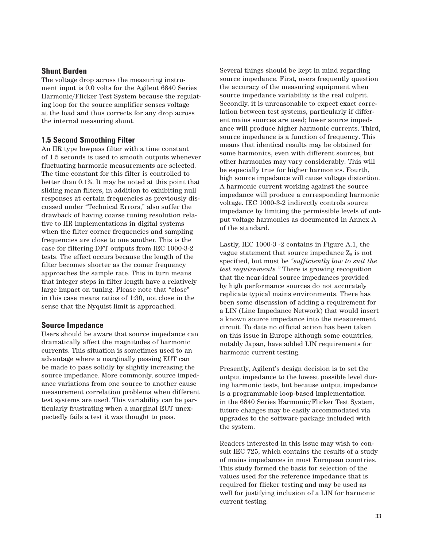#### **Shunt Burden**

The voltage drop across the measuring instrument input is 0.0 volts for the Agilent 6840 Series Harmonic/Flicker Test System because the regulating loop for the source amplifier senses voltage at the load and thus corrects for any drop across the internal measuring shunt.

#### **1.5 Second Smoothing Filter**

An IIR type lowpass filter with a time constant of 1.5 seconds is used to smooth outputs whenever fluctuating harmonic measurements are selected. The time constant for this filter is controlled to better than 0.1%. It may be noted at this point that sliding mean filters, in addition to exhibiting null responses at certain frequencies as previously discussed under "Technical Errors," also suffer the drawback of having coarse tuning resolution relative to IIR implementations in digital systems when the filter corner frequencies and sampling frequencies are close to one another. This is the case for filtering DFT outputs from IEC 1000-3-2 tests. The effect occurs because the length of the filter becomes shorter as the comer frequency approaches the sample rate. This in turn means that integer steps in filter length have a relatively large impact on tuning. Please note that "close" in this case means ratios of 1:30, not close in the sense that the Nyquist limit is approached.

#### **Source Impedance**

Users should be aware that source impedance can dramatically affect the magnitudes of harmonic currents. This situation is sometimes used to an advantage where a marginally passing EUT can be made to pass solidly by slightly increasing the source impedance. More commonly, source impedance variations from one source to another cause measurement correlation problems when different test systems are used. This variability can be particularly frustrating when a marginal EUT unexpectedly fails a test it was thought to pass.

Several things should be kept in mind regarding source impedance. First, users frequently question the accuracy of the measuring equipment when source impedance variability is the real culprit. Secondly, it is unreasonable to expect exact correlation between test systems, particularly if different mains sources are used; lower source impedance will produce higher harmonic currents. Third, source impedance is a function of frequency. This means that identical results may be obtained for some harmonics, even with different sources, but other harmonics may vary considerably. This will be especially true for higher harmonics. Fourth, high source impedance will cause voltage distortion. A harmonic current working against the source impedance will produce a corresponding harmonic voltage. IEC 1000-3-2 indirectly controls source impedance by limiting the permissible levels of output voltage harmonics as documented in Annex A of the standard.

Lastly, IEC 1000-3 -2 contains in Figure A.1, the vague statement that source impedance  $Z<sub>S</sub>$  is not specified, but must be *"sufficiently low to suit the test requirements."* There is growing recognition that the near-ideal source impedances provided by high performance sources do not accurately replicate typical mains environments. There has been some discussion of adding a requirement for a LIN (Line Impedance Network) that would insert a known source impedance into the measurement circuit. To date no official action has been taken on this issue in Europe although some countries, notably Japan, have added LIN requirements for harmonic current testing.

Presently, Agilent's design decision is to set the output impedance to the lowest possible level during harmonic tests, but because output impedance is a programmable loop-based implementation in the 6840 Series Harmonic/Flicker Test System, future changes may be easily accommodated via upgrades to the software package included with the system.

Readers interested in this issue may wish to consult IEC 725, which contains the results of a study of mains impedances in most European countries. This study formed the basis for selection of the values used for the reference impedance that is required for flicker testing and may be used as well for justifying inclusion of a LIN for harmonic current testing.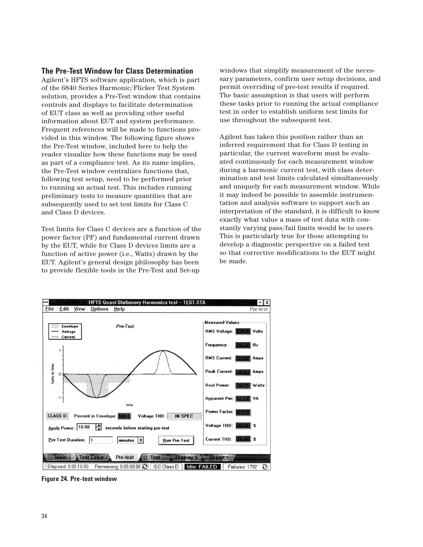#### **The Pre-Test Window for Class Determination**

Agilent's HFTS software application, which is part of the 6840 Series Harmonic/Flicker Test System solution, provides a Pre-Test window that contains controls and displays to facilitate determination of EUT class as well as providing other useful information about EUT and system performance. Frequent references will be made to functions provided in this window. The following figure shows the Pre-Test window, included here to help the reader visualize how these functions may be used as part of a compliance test. As its name implies, the Pre-Test window centralizes functions that, following test setup, need to be performed prior to running an actual test. This includes running preliminary tests to measure quantities that are subsequently used to set test limits for Class C and Class D devices.

Test limits for Class C devices are a function of the power factor (PF) and fundamental current drawn by the EUT, while for Class D devices limits are a function of active power (i.e., Watts) drawn by the EUT. Agilent's general design philosophy has been to provide flexible tools in the Pre-Test and Set-up

windows that simplify measurement of the necessary parameters, confirm user setup decisions, and permit overriding of pre-test results if required. The basic assumption is that users will perform these tasks prior to running the actual compliance test in order to establish uniform test limits for use throughout the subsequent test.

Agilent has taken this position rather than an inferred requirement that for Class D testing in particular, the current waveform must be evaluated continuously for each measurement window during a harmonic current test, with class determination and test limits calculated simultaneously and uniquely for each measurement window. While it may indeed be possible to assemble instrumentation and analysis software to support such an interpretation of the standard, it is difficult to know exactly what value a mass of test data with constantly varying pass/fail limits would be to users. This is particularly true for those attempting to develop a diagnostic perspective on a failed test so that corrective modifications to the EUT might be made.



**Figure 24. Pre-test window**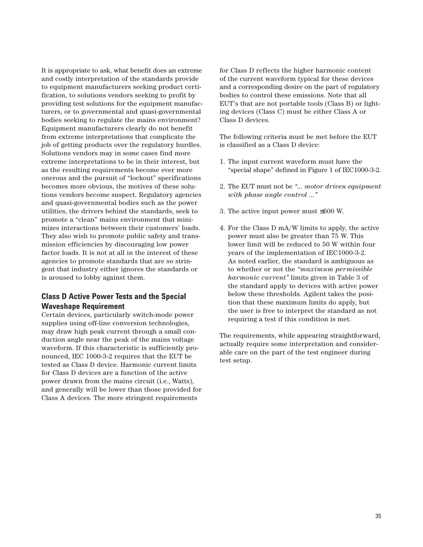It is appropriate to ask, what benefit does an extreme and costly interpretation of the standards provide to equipment manufacturers seeking product certification, to solutions vendors seeking to profit by providing test solutions for the equipment manufacturers, or to governmental and quasi-governmental bodies seeking to regulate the mains environment? Equipment manufacturers clearly do not benefit from extreme interpretations that complicate the job of getting products over the regulatory hurdles. Solutions vendors may in some cases find more extreme interpretations to be in their interest, but as the resulting requirements become ever more onerous and the pursuit of "lockout" specifications becomes more obvious, the motives of these solutions vendors become suspect. Regulatory agencies and quasi-governmental bodies such as the power utilities, the drivers behind the standards, seek to promote a "clean" mains environment that minimizes interactions between their customers' loads. They also wish to promote public safety and transmission efficiencies by discouraging low power factor loads. It is not at all in the interest of these agencies to promote standards that are so stringent that industry either ignores the standards or is aroused to lobby against them.

## **Class D Active Power Tests and the Special Waveshape Requirement**

Certain devices, particularly switch-mode power supplies using off-line conversion technologies, may draw high peak current through a small conduction angle near the peak of the mains voltage waveform. If this characteristic is sufficiently pronounced, IEC 1000-3-2 requires that the EUT be tested as Class D device. Harmonic current limits for Class D devices are a function of the active power drawn from the mains circuit (i.e., Watts), and generally will be lower than those provided for Class A devices. The more stringent requirements

for Class D reflects the higher harmonic content of the current waveform typical for these devices and a corresponding desire on the part of regulatory bodies to control these emissions. Note that all EUT's that are not portable tools (Class B) or lighting devices (Class C) must be either Class A or Class D devices.

The following criteria must be met before the EUT is classified as a Class D device:

- 1. The input current waveform must have the "special shape" defined in Figure 1 of IEC1000-3-2.
- 2. The EUT must not be *"... motor driven equipment with phase angle control ..."*
- 3. The active input power must ≤600 W.
- 4. For the Class D mA/W limits to apply, the active power must also be greater than 75 W. This lower limit will be reduced to 50 W within four years of the implementation of IEC1000-3-2. As noted earlier, the standard is ambiguous as to whether or not the *"maximum permissible harmonic current"* limits given in Table 3 of the standard apply to devices with active power below these thresholds. Agilent takes the position that these maximum limits do apply, but the user is free to interpret the standard as not requiring a test if this condition is met.

The requirements, while appearing straightforward, actually require some interpretation and considerable care on the part of the test engineer during test setup.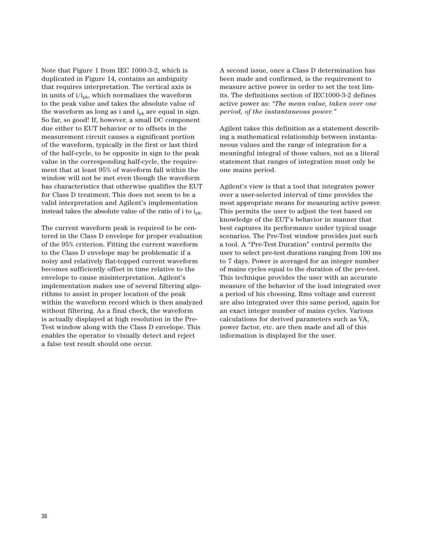Note that Figure 1 from IEC 1000-3-2, which is duplicated in Figure 14, contains an ambiguity that requires interpretation. The vertical axis is in units of  $i/i_{nk}$ , which normalizes the waveform to the peak value and takes the absolute value of the waveform as long as i and  $i_{nk}$  are equal in sign. So far, so good! If, however, a small DC component due either to EUT behavior or to offsets in the measurement circuit causes a significant portion of the waveform, typically in the first or last third of the half-cycle, to be opposite in sign to the peak value in the corresponding half-cycle, the requirement that at least 95% of waveform fall within the window will not be met even though the waveform has characteristics that otherwise qualifies the EUT for Class D treatment. This does not seem to be a valid interpretation and Agilent's implementation instead takes the absolute value of the ratio of i to  $i_{nk}$ .

The current waveform peak is required to be centered in the Class D envelope for proper evaluation of the 95% criterion. Fitting the current waveform to the Class D envelope may be problematic if a noisy and relatively flat-topped current waveform becomes sufficiently offset in time relative to the envelope to cause misinterpretation. Agilent's implementation makes use of several filtering algorithms to assist in proper location of the peak within the waveform record which is then analyzed without filtering. As a final check, the waveform is actually displayed at high resolution in the Pre-Test window along with the Class D envelope. This enables the operator to visually detect and reject a false test result should one occur.

A second issue, once a Class D determination has been made and confirmed, is the requirement to measure active power in order to set the test limits. The definitions section of IEC1000-3-2 defines active power as: *"The mean value, taken over one period, of the instantaneous power."*

Agilent takes this definition as a statement describing a mathematical relationship between instantaneous values and the range of integration for a meaningful integral of those values, not as a literal statement that ranges of integration must only be one mains period.

Agilent's view is that a tool that integrates power over a user-selected interval of time provides the most appropriate means for measuring active power. This permits the user to adjust the test based on knowledge of the EUT's behavior in manner that best captures its performance under typical usage scenarios. The Pre-Test window provides just such a tool. A "Pre-Test Duration" control permits the user to select pre-test durations ranging from 100 ms to 7 days. Power is averaged for an integer number of mains cycles equal to the duration of the pre-test. This technique provides the user with an accurate measure of the behavior of the load integrated over a period of his choosing. Rms voltage and current are also integrated over this same period, again for an exact integer number of mains cycles. Various calculations for derived parameters such as VA, power factor, etc. are then made and all of this information is displayed for the user.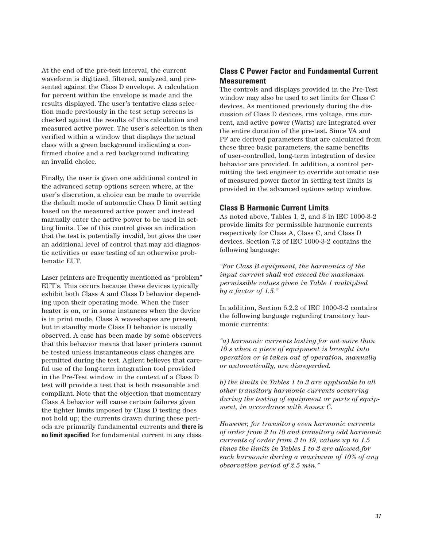At the end of the pre-test interval, the current waveform is digitized, filtered, analyzed, and presented against the Class D envelope. A calculation for percent within the envelope is made and the results displayed. The user's tentative class selection made previously in the test setup screens is checked against the results of this calculation and measured active power. The user's selection is then verified within a window that displays the actual class with a green background indicating a confirmed choice and a red background indicating an invalid choice.

Finally, the user is given one additional control in the advanced setup options screen where, at the user's discretion, a choice can be made to override the default mode of automatic Class D limit setting based on the measured active power and instead manually enter the active power to be used in setting limits. Use of this control gives an indication that the test is potentially invalid, but gives the user an additional level of control that may aid diagnostic activities or ease testing of an otherwise problematic EUT.

Laser printers are frequently mentioned as "problem" EUT's. This occurs because these devices typically exhibit both Class A and Class D behavior depending upon their operating mode. When the fuser heater is on, or in some instances when the device is in print mode, Class A waveshapes are present, but in standby mode Class D behavior is usually observed. A case has been made by some observers that this behavior means that laser printers cannot be tested unless instantaneous class changes are permitted during the test. Agilent believes that careful use of the long-term integration tool provided in the Pre-Test window in the context of a Class D test will provide a test that is both reasonable and compliant. Note that the objection that momentary Class A behavior will cause certain failures given the tighter limits imposed by Class D testing does not hold up; the currents drawn during these periods are primarily fundamental currents and **there is no limit specified** for fundamental current in any class.

## **Class C Power Factor and Fundamental Current Measurement**

The controls and displays provided in the Pre-Test window may also be used to set limits for Class C devices. As mentioned previously during the discussion of Class D devices, rms voltage, rms current, and active power (Watts) are integrated over the entire duration of the pre-test. Since VA and PF are derived parameters that are calculated from these three basic parameters, the same benefits of user-controlled, long-term integration of device behavior are provided. In addition, a control permitting the test engineer to override automatic use of measured power factor in setting test limits is provided in the advanced options setup window.

### **Class B Harmonic Current Limits**

As noted above, Tables 1, 2, and 3 in IEC 1000-3-2 provide limits for permissible harmonic currents respectively for Class A, Class C, and Class D devices. Section 7.2 of IEC 1000-3-2 contains the following language:

*"For Class B equipment, the harmonics of the input current shall not exceed the maximum permissible values given in Table 1 multiplied by a factor of 1.5."*

In addition, Section 6.2.2 of IEC 1000-3-2 contains the following language regarding transitory harmonic currents:

*"a) harmonic currents lasting for not more than 10 s when a piece of equipment is brought into operation or is taken out of operation, manually or automatically, are disregarded.*

*b) the limits in Tables 1 to 3 are applicable to all other transitory harmonic currents occurring during the testing of equipment or parts of equipment, in accordance with Annex C.*

*However, for transitory even harmonic currents of order from 2 to 10 and transitory odd harmonic currents of order from 3 to 19, values up to 1.5 times the limits in Tables 1 to 3 are allowed for each harmonic during a maximum of 10% of any observation period of 2.5 min."*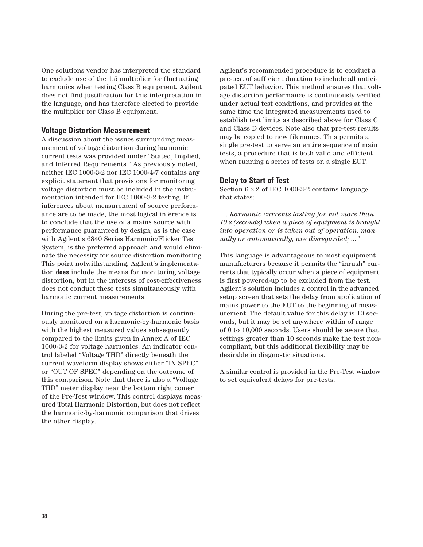One solutions vendor has interpreted the standard to exclude use of the 1.5 multiplier for fluctuating harmonics when testing Class B equipment. Agilent does not find justification for this interpretation in the language, and has therefore elected to provide the multiplier for Class B equipment.

#### **Voltage Distortion Measurement**

A discussion about the issues surrounding measurement of voltage distortion during harmonic current tests was provided under "Stated, Implied, and Inferred Requirements." As previously noted, neither IEC 1000-3-2 nor IEC 1000-4-7 contains any explicit statement that provisions for monitoring voltage distortion must be included in the instrumentation intended for IEC 1000-3-2 testing. If inferences about measurement of source performance are to be made, the most logical inference is to conclude that the use of a mains source with performance guaranteed by design, as is the case with Agilent's 6840 Series Harmonic/Flicker Test System, is the preferred approach and would eliminate the necessity for source distortion monitoring. This point notwithstanding, Agilent's implementation **does** include the means for monitoring voltage distortion, but in the interests of cost-effectiveness does not conduct these tests simultaneously with harmonic current measurements.

During the pre-test, voltage distortion is continuously monitored on a harmonic-by-harmonic basis with the highest measured values subsequently compared to the limits given in Annex A of IEC 1000-3-2 for voltage harmonics. An indicator control labeled "Voltage THD" directly beneath the current waveform display shows either "IN SPEC" or "OUT OF SPEC" depending on the outcome of this comparison. Note that there is also a "Voltage THD" meter display near the bottom right comer of the Pre-Test window. This control displays measured Total Harmonic Distortion, but does not reflect the harmonic-by-harmonic comparison that drives the other display.

Agilent's recommended procedure is to conduct a pre-test of sufficient duration to include all anticipated EUT behavior. This method ensures that voltage distortion performance is continuously verified under actual test conditions, and provides at the same time the integrated measurements used to establish test limits as described above for Class C and Class D devices. Note also that pre-test results may be copied to new filenames. This permits a single pre-test to serve an entire sequence of main tests, a procedure that is both valid and efficient when running a series of tests on a single EUT.

#### **Delay to Start of Test**

Section 6.2.2 of IEC 1000-3-2 contains language that states:

*"... harmonic currents lasting for not more than 10 s (seconds) when a piece of equipment is brought into operation or is taken out of operation, manually or automatically, are disregarded; ..."*

This language is advantageous to most equipment manufacturers because it permits the "inrush" currents that typically occur when a piece of equipment is first powered-up to be excluded from the test. Agilent's solution includes a control in the advanced setup screen that sets the delay from application of mains power to the EUT to the beginning of measurement. The default value for this delay is 10 seconds, but it may be set anywhere within of range of 0 to 10,000 seconds. Users should be aware that settings greater than 10 seconds make the test noncompliant, but this additional flexibility may be desirable in diagnostic situations.

A similar control is provided in the Pre-Test window to set equivalent delays for pre-tests.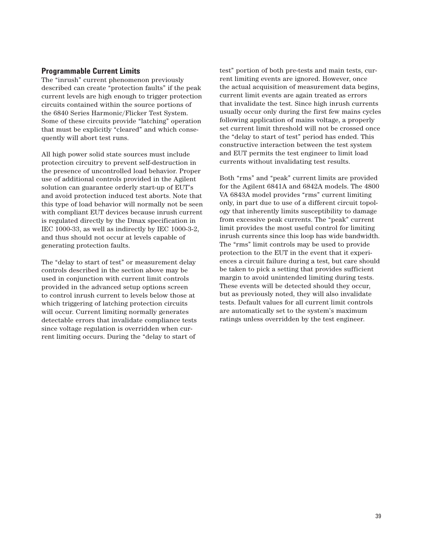### **Programmable Current Limits**

The "inrush" current phenomenon previously described can create "protection faults" if the peak current levels are high enough to trigger protection circuits contained within the source portions of the 6840 Series Harmonic/Flicker Test System. Some of these circuits provide "latching" operation that must be explicitly "cleared" and which consequently will abort test runs.

All high power solid state sources must include protection circuitry to prevent self-destruction in the presence of uncontrolled load behavior. Proper use of additional controls provided in the Agilent solution can guarantee orderly start-up of EUT's and avoid protection induced test aborts. Note that this type of load behavior will normally not be seen with compliant EUT devices because inrush current is regulated directly by the Dmax specification in IEC 1000-33, as well as indirectly by IEC 1000-3-2, and thus should not occur at levels capable of generating protection faults.

The "delay to start of test" or measurement delay controls described in the section above may be used in conjunction with current limit controls provided in the advanced setup options screen to control inrush current to levels below those at which triggering of latching protection circuits will occur. Current limiting normally generates detectable errors that invalidate compliance tests since voltage regulation is overridden when current limiting occurs. During the "delay to start of test" portion of both pre-tests and main tests, current limiting events are ignored. However, once the actual acquisition of measurement data begins, current limit events are again treated as errors that invalidate the test. Since high inrush currents usually occur only during the first few mains cycles following application of mains voltage, a properly set current limit threshold will not be crossed once the "delay to start of test" period has ended. This constructive interaction between the test system and EUT permits the test engineer to limit load currents without invalidating test results.

Both "rms" and "peak" current limits are provided for the Agilent 6841A and 6842A models. The 4800 VA 6843A model provides "rms" current limiting only, in part due to use of a different circuit topology that inherently limits susceptibility to damage from excessive peak currents. The "peak" current limit provides the most useful control for limiting inrush currents since this loop has wide bandwidth. The "rms" limit controls may be used to provide protection to the EUT in the event that it experiences a circuit failure during a test, but care should be taken to pick a setting that provides sufficient margin to avoid unintended limiting during tests. These events will be detected should they occur, but as previously noted, they will also invalidate tests. Default values for all current limit controls are automatically set to the system's maximum ratings unless overridden by the test engineer.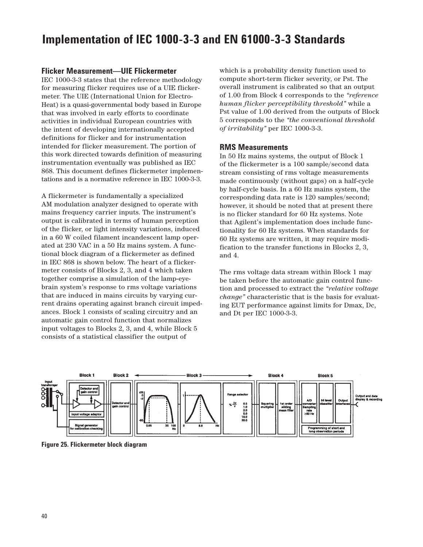## **Flicker Measurement—UIE Flickermeter**

IEC 1000-3-3 states that the reference methodology for measuring flicker requires use of a UIE flickermeter. The UIE (International Union for Electro-Heat) is a quasi-governmental body based in Europe that was involved in early efforts to coordinate activities in individual European countries with the intent of developing internationally accepted definitions for flicker and for instrumentation intended for flicker measurement. The portion of this work directed towards definition of measuring instrumentation eventually was published as IEC 868. This document defines flickermeter implementations and is a normative reference in IEC 1000-3-3.

A flickermeter is fundamentally a specialized AM modulation analyzer designed to operate with mains frequency carrier inputs. The instrument's output is calibrated in terms of human perception of the flicker, or light intensity variations, induced in a 60 W coiled filament incandescent lamp operated at 230 VAC in a 50 Hz mains system. A functional block diagram of a flickermeter as defined in IEC 868 is shown below. The heart of a flickermeter consists of Blocks 2, 3, and 4 which taken together comprise a simulation of the lamp-eyebrain system's response to rms voltage variations that are induced in mains circuits by varying current drains operating against branch circuit impedances. Block 1 consists of scaling circuitry and an automatic gain control function that normalizes input voltages to Blocks 2, 3, and 4, while Block 5 consists of a statistical classifier the output of

which is a probability density function used to compute short-term flicker severity, or Pst. The overall instrument is calibrated so that an output of 1.00 from Block 4 corresponds to the *"reference human flicker perceptibility threshold"* while a Pst value of 1.00 derived from the outputs of Block 5 corresponds to the *"the conventional threshold of irritability"* per IEC 1000-3-3.

### **RMS Measurements**

In 50 Hz mains systems, the output of Block 1 of the flickermeter is a 100 sample/second data stream consisting of rms voltage measurements made continuously (without gaps) on a half-cycle by half-cycle basis. In a 60 Hz mains system, the corresponding data rate is 120 samples/second; however, it should be noted that at present there is no flicker standard for 60 Hz systems. Note that Agilent's implementation does include functionality for 60 Hz systems. When standards for 60 Hz systems are written, it may require modification to the transfer functions in Blocks 2, 3, and 4.

The rms voltage data stream within Block 1 may be taken before the automatic gain control function and processed to extract the *"relative voltage change"* characteristic that is the basis for evaluating EUT performance against limits for Dmax, Dc, and Dt per IEC 1000-3-3.



**Figure 25. Flickermeter block diagram**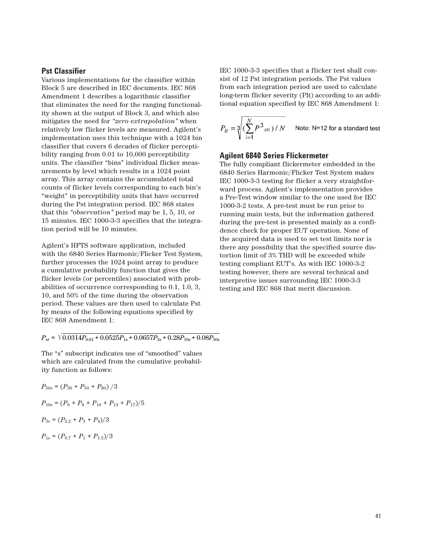#### **Pst Classifier**

Various implementations for the classifier within Block 5 are described in IEC documents. IEC 868 Amendment 1 describes a logarithmic classifier that eliminates the need for the ranging functionality shown at the output of Block 3, and which also mitigates the need for *"zero extrapolation"* when relatively low flicker levels are measured. Agilent's implementation uses this technique with a 1024 bin classifier that covers 6 decades of flicker perceptibility ranging from 0.01 to 10,000 perceptibility units. The classifier "bins" individual flicker measurements by level which results in a 1024 point array. This array contains the accumulated total counts of flicker levels corresponding to each bin's "weight" in perceptibility units that have occurred during the Pst integration period. IEC 868 states that this *"observation"* period may be 1, 5, 10, or 15 minutes. IEC 1000-3-3 specifies that the integration period will be 10 minutes.

Agilent's HFTS software application, included with the 6840 Series Harmonic/Flicker Test System, further processes the 1024 point array to produce a cumulative probability function that gives the flicker levels (or percentiles) associated with probabilities of occurrence corresponding to 0.1, 1.0, 3, 10, and 50% of the time during the observation period. These values are then used to calculate Pst by means of the following equations specified by IEC 868 Amendment 1:

 $P_{st} = \sqrt{0.0314 P_{0.01} + 0.0525 P_{1s} + 0.0657 P_{3s} + 0.28 P_{10s} + 0.08 P_{50s}}$ 

The "s" subscript indicates use of "smoothed" values which are calculated from the cumulative probability function as follows:

$$
P_{50s} = (P_{30} + P_{50} + P_{80})/3
$$
  
\n
$$
P_{10s} = (P_6 + P_8 + P_{10} + P_{13} + P_{17})/5
$$
  
\n
$$
P_{3s} = (P_{2.2} + P_3 + P_4)/3
$$
  
\n
$$
P_{1s} = (P_{0.7} + P_1 + P_{1.5})/3
$$

IEC 1000-3-3 specifies that a flicker test shall consist of 12 Pst integration periods. The Pst values from each integration period are used to calculate long-term flicker severity (Plt) according to an additional equation specified by IEC 868 Amendment 1:

$$
P_{lt} = \sqrt[3]{\left(\sum_{i=1}^{N} P^3_{\text{sti}}\right) / N}
$$
 Note: N=12 for a standard test

#### **Agilent 6840 Series Flickermeter**

The fully compliant flickermeter embedded in the 6840 Series Harmonic/Flicker Test System makes IEC 1000-3-3 testing for flicker a very straightforward process. Agilent's implementation provides a Pre-Test window similar to the one used for IEC 1000-3-2 tests. A pre-test must be run prior to running main tests, but the information gathered during the pre-test is presented mainly as a confidence check for proper EUT operation. None of the acquired data is used to set test limits nor is there any possibility that the specified source distortion limit of 3% THD will be exceeded while testing compliant EUT's. As with IEC 1000-3-2 testing however, there are several technical and interpretive issues surrounding IEC 1000-3-3 testing and IEC 868 that merit discussion.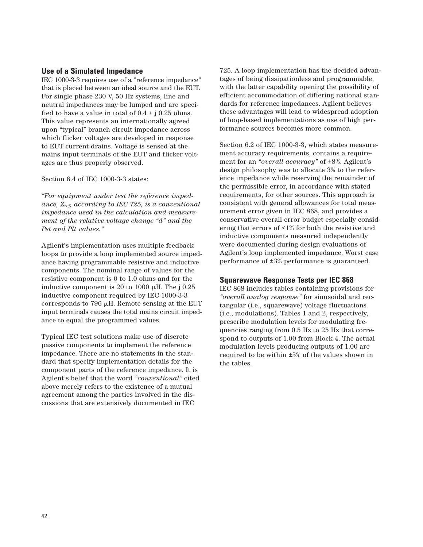### **Use of a Simulated Impedance**

IEC 1000-3-3 requires use of a "reference impedance" that is placed between an ideal source and the EUT. For single phase 230 V, 50 Hz systems, line and neutral impedances may be lumped and are specified to have a value in total of  $0.4 + j 0.25$  ohms. This value represents an internationally agreed upon "typical" branch circuit impedance across which flicker voltages are developed in response to EUT current drains. Voltage is sensed at the mains input terminals of the EUT and flicker voltages are thus properly observed.

Section 6.4 of IEC 1000-3-3 states:

*"For equipment under test the reference impedance, Zref, according to IEC 725, is a conventional impedance used in the calculation and measurement of the relative voltage change "d" and the Pst and Plt values."*

Agilent's implementation uses multiple feedback loops to provide a loop implemented source impedance having programmable resistive and inductive components. The nominal range of values for the resistive component is 0 to 1.0 ohms and for the inductive component is 20 to 1000  $\mu$ H. The j 0.25 inductive component required by IEC 1000-3-3 corresponds to 796  $\mu$ H. Remote sensing at the EUT input terminals causes the total mains circuit impedance to equal the programmed values.

Typical IEC test solutions make use of discrete passive components to implement the reference impedance. There are no statements in the standard that specify implementation details for the component parts of the reference impedance. It is Agilent's belief that the word *"conventional"* cited above merely refers to the existence of a mutual agreement among the parties involved in the discussions that are extensively documented in IEC

725. A loop implementation has the decided advantages of being dissipationless and programmable, with the latter capability opening the possibility of efficient accommodation of differing national standards for reference impedances. Agilent believes these advantages will lead to widespread adoption of loop-based implementations as use of high performance sources becomes more common.

Section 6.2 of IEC 1000-3-3, which states measurement accuracy requirements, contains a requirement for an *"overall accuracy"* of ±8%. Agilent's design philosophy was to allocate 3% to the reference impedance while reserving the remainder of the permissible error, in accordance with stated requirements, for other sources. This approach is consistent with general allowances for total measurement error given in IEC 868, and provides a conservative overall error budget especially considering that errors of <1% for both the resistive and inductive components measured independently were documented during design evaluations of Agilent's loop implemented impedance. Worst case performance of ±3% performance is guaranteed.

#### **Squarewave Response Tests per IEC 868**

IEC 868 includes tables containing provisions for *"overall analog response"* for sinusoidal and rectangular (i.e., squarewave) voltage fluctuations (i.e., modulations). Tables 1 and 2, respectively, prescribe modulation levels for modulating frequencies ranging from 0.5 Hz to 25 Hz that correspond to outputs of 1.00 from Block 4. The actual modulation levels producing outputs of 1.00 are required to be within ±5% of the values shown in the tables.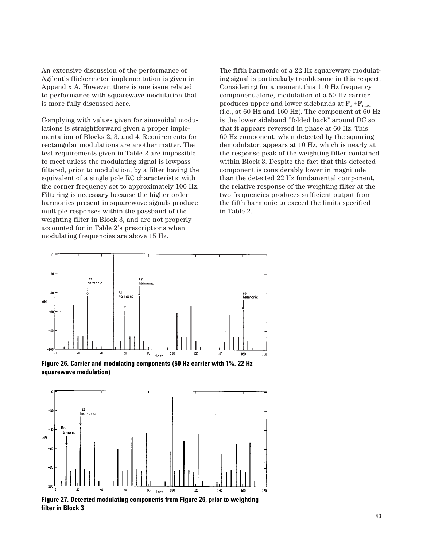An extensive discussion of the performance of Agilent's flickermeter implementation is given in Appendix A. However, there is one issue related to performance with squarewave modulation that is more fully discussed here.

Complying with values given for sinusoidal modulations is straightforward given a proper implementation of Blocks 2, 3, and 4. Requirements for rectangular modulations are another matter. The test requirements given in Table 2 are impossible to meet unless the modulating signal is lowpass filtered, prior to modulation, by a filter having the equivalent of a single pole RC characteristic with the corner frequency set to approximately 100 Hz. Filtering is necessary because the higher order harmonics present in squarewave signals produce multiple responses within the passband of the weighting filter in Block 3, and are not properly accounted for in Table 2's prescriptions when modulating frequencies are above 15 Hz.

The fifth harmonic of a 22 Hz squarewave modulating signal is particularly troublesome in this respect. Considering for a moment this 110 Hz frequency component alone, modulation of a 50 Hz carrier produces upper and lower sidebands at  $F_c \pm F_{mod}$ (i.e., at 60 Hz and 160 Hz). The component at 60 Hz is the lower sideband "folded back" around DC so that it appears reversed in phase at 60 Hz. This 60 Hz component, when detected by the squaring demodulator, appears at 10 Hz, which is nearly at the response peak of the weighting filter contained within Block 3. Despite the fact that this detected component is considerably lower in magnitude than the detected 22 Hz fundamental component, the relative response of the weighting filter at the two frequencies produces sufficient output from the fifth harmonic to exceed the limits specified in Table 2.



**Figure 26. Carrier and modulating components (50 Hz carrier with 1%, 22 Hz squarewave modulation)**



**filter in Block 3**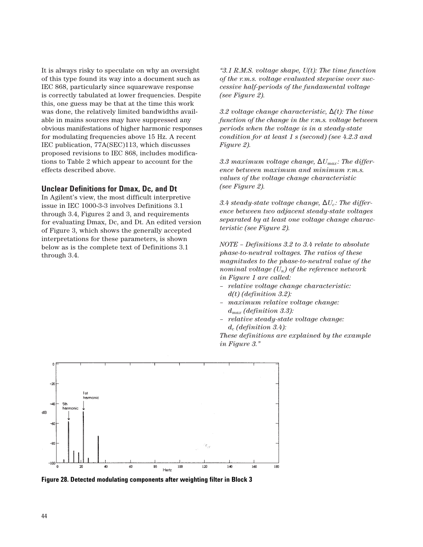It is always risky to speculate on why an oversight of this type found its way into a document such as IEC 868, particularly since squarewave response is correctly tabulated at lower frequencies. Despite this, one guess may be that at the time this work was done, the relatively limited bandwidths available in mains sources may have suppressed any obvious manifestations of higher harmonic responses for modulating frequencies above 15 Hz. A recent IEC publication, 77A(SEC)113, which discusses proposed revisions to IEC 868, includes modifications to Table 2 which appear to account for the effects described above.

#### **Unclear Definitions for Dmax, Dc, and Dt**

In Agilent's view, the most difficult interpretive issue in IEC 1000-3-3 involves Definitions 3.1 through 3.4, Figures 2 and 3, and requirements for evaluating Dmax, Dc, and Dt. An edited version of Figure 3, which shows the generally accepted interpretations for these parameters, is shown below as is the complete text of Definitions 3.1 through 3.4.

*"3.1 R.M.S. voltage shape, U(t): The time function of the r.m.s. voltage evaluated stepwise over successive half-periods of the fundamental voltage (see Figure 2).*

*3.2 voltage change characteristic,* ∆*(t): The time function of the change in the r.m.s. voltage between periods when the voltage is in a steady-state condition for at least 1 s (second) (see 4.2.3 and Figure 2).*

*3.3 maximum voltage change,*  $\Delta U_{max}$ *: The difference between maximum and minimum r.m.s. values of the voltage change characteristic (see Figure 2).*

 $3.4$  steady-state voltage change,  $\Delta U_c$ : The differ*ence between two adjacent steady-state voltages separated by at least one voltage change characteristic (see Figure 2).*

*NOTE – Definitions 3.2 to 3.4 relate to absolute phase-to-neutral voltages. The ratios of these magnitudes to the phase-to-neutral value of the nominal voltage (Un) of the reference network in Figure 1 are called:* 

- *relative voltage change characteristic: d(t) (definition 3.2):*
- *maximum relative voltage change: dmax (definition 3.3):*
- *relative steady-state voltage change: dc (definition 3.4):*

*These definitions are explained by the example in Figure 3."*



**Figure 28. Detected modulating components after weighting filter in Block 3**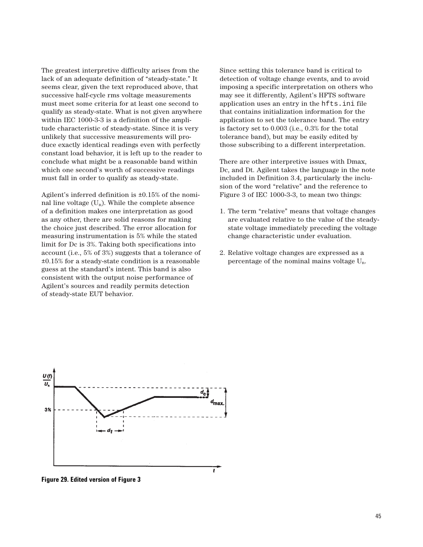The greatest interpretive difficulty arises from the lack of an adequate definition of "steady-state." It seems clear, given the text reproduced above, that successive half-cycle rms voltage measurements must meet some criteria for at least one second to qualify as steady-state. What is not given anywhere within IEC 1000-3-3 is a definition of the amplitude characteristic of steady-state. Since it is very unlikely that successive measurements will produce exactly identical readings even with perfectly constant load behavior, it is left up to the reader to conclude what might be a reasonable band within which one second's worth of successive readings must fall in order to qualify as steady-state.

Agilent's inferred definition is ±0.15% of the nominal line voltage  $(U_n)$ . While the complete absence of a definition makes one interpretation as good as any other, there are solid reasons for making the choice just described. The error allocation for measuring instrumentation is 5% while the stated limit for Dc is 3%. Taking both specifications into account (i.e., 5% of 3%) suggests that a tolerance of ±0.15% for a steady-state condition is a reasonable guess at the standard's intent. This band is also consistent with the output noise performance of Agilent's sources and readily permits detection of steady-state EUT behavior.

Since setting this tolerance band is critical to detection of voltage change events, and to avoid imposing a specific interpretation on others who may see it differently, Agilent's HFTS software application uses an entry in the hfts.ini file that contains initialization information for the application to set the tolerance band. The entry is factory set to 0.003 (i.e., 0.3% for the total tolerance band), but may be easily edited by those subscribing to a different interpretation.

There are other interpretive issues with Dmax, Dc, and Dt. Agilent takes the language in the note included in Definition 3.4, particularly the inclusion of the word "relative" and the reference to Figure 3 of IEC 1000-3-3, to mean two things:

- 1. The term "relative" means that voltage changes are evaluated relative to the value of the steadystate voltage immediately preceding the voltage change characteristic under evaluation.
- 2. Relative voltage changes are expressed as a percentage of the nominal mains voltage Un.



**Figure 29. Edited version of Figure 3**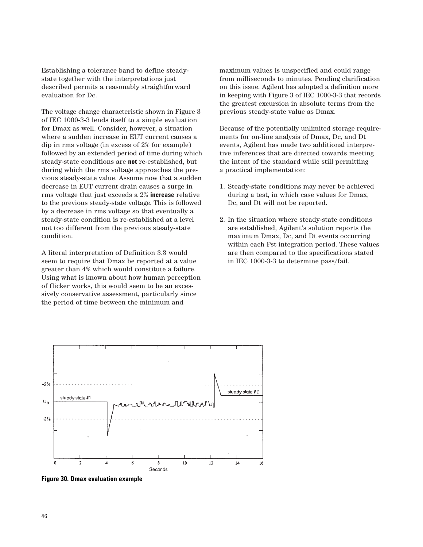Establishing a tolerance band to define steadystate together with the interpretations just described permits a reasonably straightforward evaluation for Dc.

The voltage change characteristic shown in Figure 3 of IEC 1000-3-3 lends itself to a simple evaluation for Dmax as well. Consider, however, a situation where a sudden increase in EUT current causes a dip in rms voltage (in excess of 2% for example) followed by an extended period of time during which steady-state conditions are **not** re-established, but during which the rms voltage approaches the previous steady-state value. Assume now that a sudden decrease in EUT current drain causes a surge in rms voltage that just exceeds a 2% **increase** relative to the previous steady-state voltage. This is followed by a decrease in rms voltage so that eventually a steady-state condition is re-established at a level not too different from the previous steady-state condition.

A literal interpretation of Definition 3.3 would seem to require that Dmax be reported at a value greater than 4% which would constitute a failure. Using what is known about how human perception of flicker works, this would seem to be an excessively conservative assessment, particularly since the period of time between the minimum and

maximum values is unspecified and could range from milliseconds to minutes. Pending clarification on this issue, Agilent has adopted a definition more in keeping with Figure 3 of IEC 1000-3-3 that records the greatest excursion in absolute terms from the previous steady-state value as Dmax.

Because of the potentially unlimited storage requirements for on-line analysis of Dmax, Dc, and Dt events, Agilent has made two additional interpretive inferences that are directed towards meeting the intent of the standard while still permitting a practical implementation:

- 1. Steady-state conditions may never be achieved during a test, in which case values for Dmax, Dc, and Dt will not be reported.
- 2. In the situation where steady-state conditions are established, Agilent's solution reports the maximum Dmax, Dc, and Dt events occurring within each Pst integration period. These values are then compared to the specifications stated in IEC 1000-3-3 to determine pass/fail.



**Figure 30. Dmax evaluation example**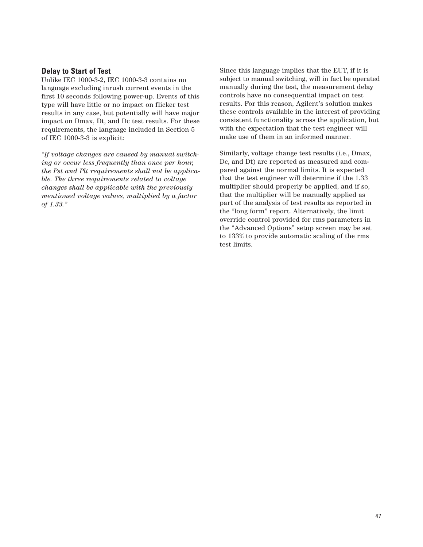### **Delay to Start of Test**

Unlike IEC 1000-3-2, IEC 1000-3-3 contains no language excluding inrush current events in the first 10 seconds following power-up. Events of this type will have little or no impact on flicker test results in any case, but potentially will have major impact on Dmax, Dt, and Dc test results. For these requirements, the language included in Section 5 of IEC 1000-3-3 is explicit:

*"If voltage changes are caused by manual switching or occur less frequently than once per hour, the Pst and Plt requirements shall not be applicable. The three requirements related to voltage changes shall be applicable with the previously mentioned voltage values, multiplied by a factor of 1.33."*

Since this language implies that the EUT, if it is subject to manual switching, will in fact be operated manually during the test, the measurement delay controls have no consequential impact on test results. For this reason, Agilent's solution makes these controls available in the interest of providing consistent functionality across the application, but with the expectation that the test engineer will make use of them in an informed manner.

Similarly, voltage change test results (i.e., Dmax, Dc, and Dt) are reported as measured and compared against the normal limits. It is expected that the test engineer will determine if the 1.33 multiplier should properly be applied, and if so, that the multiplier will be manually applied as part of the analysis of test results as reported in the "long form" report. Alternatively, the limit override control provided for rms parameters in the "Advanced Options" setup screen may be set to 133% to provide automatic scaling of the rms test limits.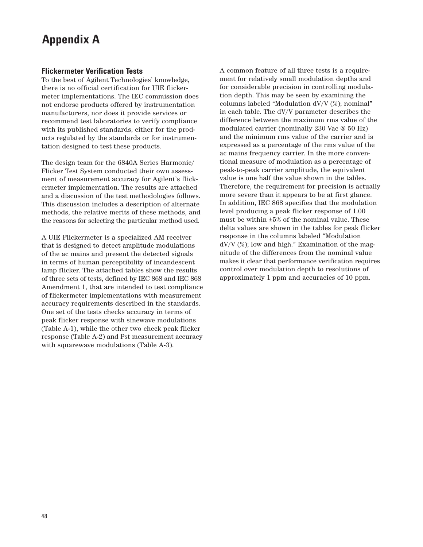## **Appendix A**

#### **Flickermeter Verification Tests**

To the best of Agilent Technologies' knowledge, there is no official certification for UIE flickermeter implementations. The IEC commission does not endorse products offered by instrumentation manufacturers, nor does it provide services or recommend test laboratories to verify compliance with its published standards, either for the products regulated by the standards or for instrumentation designed to test these products.

The design team for the 6840A Series Harmonic/ Flicker Test System conducted their own assessment of measurement accuracy for Agilent's flickermeter implementation. The results are attached and a discussion of the test methodologies follows. This discussion includes a description of alternate methods, the relative merits of these methods, and the reasons for selecting the particular method used.

A UIE Flickermeter is a specialized AM receiver that is designed to detect amplitude modulations of the ac mains and present the detected signals in terms of human perceptibility of incandescent lamp flicker. The attached tables show the results of three sets of tests, defined by IEC 868 and IEC 868 Amendment 1, that are intended to test compliance of flickermeter implementations with measurement accuracy requirements described in the standards. One set of the tests checks accuracy in terms of peak flicker response with sinewave modulations (Table A-1), while the other two check peak flicker response (Table A-2) and Pst measurement accuracy with squarewave modulations (Table A-3).

A common feature of all three tests is a requirement for relatively small modulation depths and for considerable precision in controlling modulation depth. This may be seen by examining the columns labeled "Modulation dV/V (%); nominal" in each table. The dV/V parameter describes the difference between the maximum rms value of the modulated carrier (nominally 230 Vac @ 50 Hz) and the minimum rms value of the carrier and is expressed as a percentage of the rms value of the ac mains frequency carrier. In the more conventional measure of modulation as a percentage of peak-to-peak carrier amplitude, the equivalent value is one half the value shown in the tables. Therefore, the requirement for precision is actually more severe than it appears to be at first glance. In addition, IEC 868 specifies that the modulation level producing a peak flicker response of 1.00 must be within ±5% of the nominal value. These delta values are shown in the tables for peak flicker response in the columns labeled "Modulation  $dV/V$  (%); low and high." Examination of the magnitude of the differences from the nominal value makes it clear that performance verification requires control over modulation depth to resolutions of approximately 1 ppm and accuracies of 10 ppm.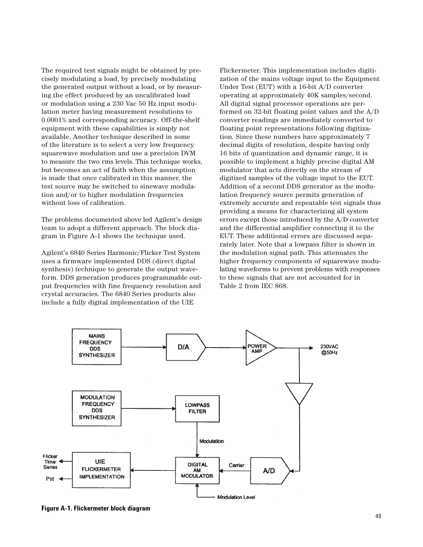The required test signals might be obtained by precisely modulating a load, by precisely modulating the generated output without a load, or by measuring the effect produced by an uncalibrated load or modulation using a 230 Vac 50 Hz input modulation meter having measurement resolutions to 0.0001% and corresponding accuracy. Off-the-shelf equipment with these capabilities is simply not available. Another technique described in some of the literature is to select a very low frequency squarewave modulation and use a precision DVM to measure the two rms levels. This technique works, but becomes an act of faith when the assumption is made that once calibrated in this manner, the test source may be switched to sinewave modulation and/or to higher modulation frequencies without loss of calibration.

The problems documented above led Agilent's design team to adopt a different approach. The block diagram in Figure A-1 shows the technique used.

Agilent's 6840 Series Harmonic/Flicker Test System uses a firmware implemented DDS (direct digital synthesis) technique to generate the output waveform. DDS generation produces programmable output frequencies with fine frequency resolution and crystal accuracies. The 6840 Series products also include a fully digital implementation of the UIE

Flickermeter. This implementation includes digitization of the mains voltage input to the Equipment Under Test (EUT) with a 16-bit A/D converter operating at approximately 40K samples/second. All digital signal processor operations are performed on 32-bit floating point values and the A/D converter readings are immediately converted to floating point representations following digitization. Since these numbers have approximately 7 decimal digits of resolution, despite having only 16 bits of quantization and dynamic range, it is possible to implement a highly precise digital AM modulator that acts directly on the stream of digitized samples of the voltage input to the EUT. Addition of a second DDS generator as the modulation frequency source permits generation of extremely accurate and repeatable test signals thus providing a means for characterizing all system errors except those introduced by the A/D converter and the differential amplifier connecting it to the EUT. These additional errors are discussed separately later. Note that a lowpass filter is shown in the modulation signal path. This attenuates the higher frequency components of squarewave modulating waveforms to prevent problems with responses to these signals that are not accounted for in Table 2 from IEC 868.



**Figure A-1. Flickermeter block diagram**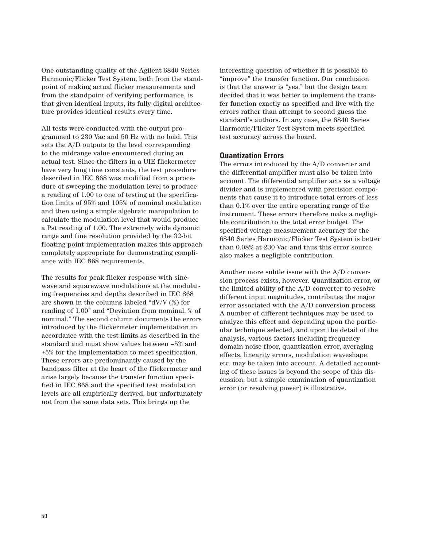One outstanding quality of the Agilent 6840 Series Harmonic/Flicker Test System, both from the standpoint of making actual flicker measurements and from the standpoint of verifying performance, is that given identical inputs, its fully digital architecture provides identical results every time.

All tests were conducted with the output programmed to 230 Vac and 50 Hz with no load. This sets the A/D outputs to the level corresponding to the midrange value encountered during an actual test. Since the filters in a UIE flickermeter have very long time constants, the test procedure described in IEC 868 was modified from a procedure of sweeping the modulation level to produce a reading of 1.00 to one of testing at the specification limits of 95% and 105% of nominal modulation and then using a simple algebraic manipulation to calculate the modulation level that would produce a Pst reading of 1.00. The extremely wide dynamic range and fine resolution provided by the 32-bit floating point implementation makes this approach completely appropriate for demonstrating compliance with IEC 868 requirements.

The results for peak flicker response with sinewave and squarewave modulations at the modulating frequencies and depths described in IEC 868 are shown in the columns labeled "dV/V (%) for reading of 1.00" and "Deviation from nominal, % of nominal." The second column documents the errors introduced by the flickermeter implementation in accordance with the test limits as described in the standard and must show values between –5% and +5% for the implementation to meet specification. These errors are predominantly caused by the bandpass filter at the heart of the flickermeter and arise largely because the transfer function specified in IEC 868 and the specified test modulation levels are all empirically derived, but unfortunately not from the same data sets. This brings up the

interesting question of whether it is possible to "improve" the transfer function. Our conclusion is that the answer is "yes," but the design team decided that it was better to implement the transfer function exactly as specified and live with the errors rather than attempt to second guess the standard's authors. In any case, the 6840 Series Harmonic/Flicker Test System meets specified test accuracy across the board.

#### **Quantization Errors**

The errors introduced by the A/D converter and the differential amplifier must also be taken into account. The differential amplifier acts as a voltage divider and is implemented with precision components that cause it to introduce total errors of less than 0.1% over the entire operating range of the instrument. These errors therefore make a negligible contribution to the total error budget. The specified voltage measurement accuracy for the 6840 Series Harmonic/Flicker Test System is better than 0.08% at 230 Vac and thus this error source also makes a negligible contribution.

Another more subtle issue with the A/D conversion process exists, however. Quantization error, or the limited ability of the A/D converter to resolve different input magnitudes, contributes the major error associated with the A/D conversion process. A number of different techniques may be used to analyze this effect and depending upon the particular technique selected, and upon the detail of the analysis, various factors including frequency domain noise floor, quantization error, averaging effects, linearity errors, modulation waveshape, etc. may be taken into account. A detailed accounting of these issues is beyond the scope of this discussion, but a simple examination of quantization error (or resolving power) is illustrative.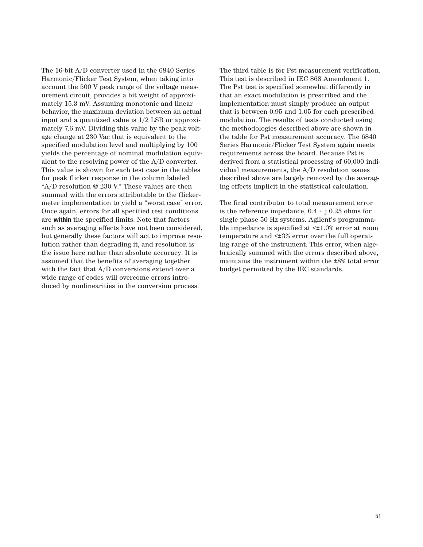The 16-bit A/D converter used in the 6840 Series Harmonic/Flicker Test System, when taking into account the 500 V peak range of the voltage measurement circuit, provides a bit weight of approximately 15.3 mV. Assuming monotonic and linear behavior, the maximum deviation between an actual input and a quantized value is 1/2 LSB or approximately 7.6 mV. Dividing this value by the peak voltage change at 230 Vac that is equivalent to the specified modulation level and multiplying by 100 yields the percentage of nominal modulation equivalent to the resolving power of the A/D converter. This value is shown for each test case in the tables for peak flicker response in the column labeled "A/D resolution @ 230 V." These values are then summed with the errors attributable to the flickermeter implementation to yield a "worst case" error. Once again, errors for all specified test conditions are **within** the specified limits. Note that factors such as averaging effects have not been considered, but generally these factors will act to improve resolution rather than degrading it, and resolution is the issue here rather than absolute accuracy. It is assumed that the benefits of averaging together with the fact that A/D conversions extend over a wide range of codes will overcome errors introduced by nonlinearities in the conversion process.

The third table is for Pst measurement verification. This test is described in IEC 868 Amendment 1. The Pst test is specified somewhat differently in that an exact modulation is prescribed and the implementation must simply produce an output that is between 0.95 and 1.05 for each prescribed modulation. The results of tests conducted using the methodologies described above are shown in the table for Pst measurement accuracy. The 6840 Series Harmonic/Flicker Test System again meets requirements across the board. Because Pst is derived from a statistical processing of 60,000 individual measurements, the A/D resolution issues described above are largely removed by the averaging effects implicit in the statistical calculation.

The final contributor to total measurement error is the reference impedance,  $0.4 + j 0.25$  ohms for single phase 50 Hz systems. Agilent's programmable impedance is specified at <±1.0% error at room temperature and <±3% error over the full operating range of the instrument. This error, when algebraically summed with the errors described above, maintains the instrument within the ±8% total error budget permitted by the IEC standards.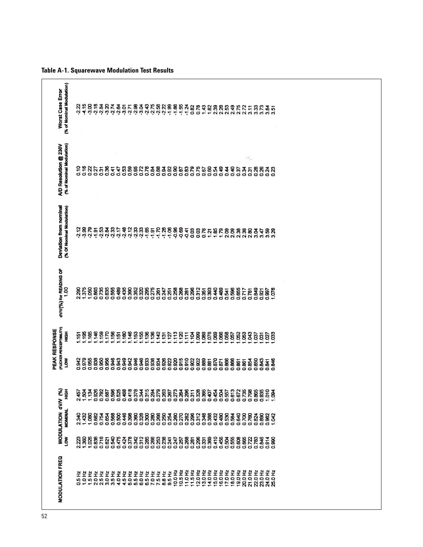| Devlation from nominal<br>(% Of Nominal Modulation)<br>dVIV(%) for READING OF |
|-------------------------------------------------------------------------------|
| $\frac{8}{100}$                                                               |
| 8g                                                                            |
| 1.375                                                                         |
| $\frac{8}{1}$                                                                 |
| 0.865                                                                         |
| 0.735                                                                         |
| 0.635                                                                         |
| 0.555                                                                         |
| 0.489                                                                         |
| 0.435                                                                         |
| 0.390                                                                         |
| ន្ត្រី<br>ខ្លួន ខ្លួន<br><b>ខ</b> ្ពួន ខ្ញុ                                   |
|                                                                               |
|                                                                               |
|                                                                               |
| 0.261                                                                         |
|                                                                               |
| 0.251                                                                         |
|                                                                               |
| 0.268                                                                         |
| 0.281                                                                         |
| 0.296                                                                         |
| 0.312                                                                         |
| 0.351                                                                         |
| 0.393                                                                         |
| 0.440                                                                         |
|                                                                               |
| 0.489                                                                         |
| 0.596                                                                         |
| 0.655                                                                         |
| 0.717                                                                         |
| 0.781                                                                         |
| 0.849                                                                         |
| 0.921                                                                         |
| $\overline{\overline{\overline{\overline{g}}}}$                               |
|                                                                               |
| <b>SZG</b>                                                                    |

**Table A-1. Squarewave Modulation Test Results**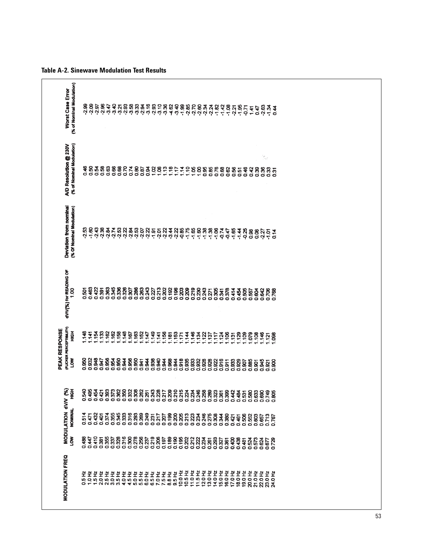|                                      | (% of Nominal Modulation)<br><b>Worst Case Error</b> | -2.99<br>-2.09                                                                                                                                                                                                                   |         |                  |                  |                |       |       |              |       |                  |                    |                                                                                                                                                                                                                                                                                                                                                                                                                                      |       |                |                        |       |       | ខេត្តក្តុង<br>ស្រុកក្តុម |                | $-1.42$ | $-1.08$ | $-2.21$ | $-1.95$ | $-5.71$                 | 1.41  | 0.47                | 2.63  | $rac{2}{3}$           | 0.44                                        |  |
|--------------------------------------|------------------------------------------------------|----------------------------------------------------------------------------------------------------------------------------------------------------------------------------------------------------------------------------------|---------|------------------|------------------|----------------|-------|-------|--------------|-------|------------------|--------------------|--------------------------------------------------------------------------------------------------------------------------------------------------------------------------------------------------------------------------------------------------------------------------------------------------------------------------------------------------------------------------------------------------------------------------------------|-------|----------------|------------------------|-------|-------|--------------------------|----------------|---------|---------|---------|---------|-------------------------|-------|---------------------|-------|-----------------------|---------------------------------------------|--|
|                                      | (% of Nominal Modulation)<br>A/D Resolution @ 230V   |                                                                                                                                                                                                                                  |         | <b>ទី</b><br>១១១ | 0.58             |                |       |       |              |       | 888278<br>888278 |                    | 8388222272                                                                                                                                                                                                                                                                                                                                                                                                                           |       |                |                        | 888   |       | 0.85                     | 0.76           |         | 0.62    | 0.56    | 0.51    | 0.46                    | 0.42  | 8                   |       | $\frac{d\phi}{d\phi}$ | ន្ល<br>ទី <b>ទី</b> ទី                      |  |
| PEAK RESPONSE<br>MODULATION dV/V (%) | Devlation from nominal<br>(% Of Nominal Modulation)  | 2.53                                                                                                                                                                                                                             | $-1.60$ | $-2.43$          |                  | -2.38<br>-2.84 |       |       | 2582<br>2582 |       |                  |                    | $\begin{array}{cccccccccc} \texttt{3} & \texttt{3} & \texttt{5} & \texttt{5} & \texttt{5} & \texttt{5} & \texttt{5} & \texttt{5} & \texttt{5} & \texttt{6} & \texttt{7} & \texttt{8} \\ \texttt{4} & \texttt{5} & \texttt{6} & \texttt{7} & \texttt{8} & \texttt{9} & \texttt{9} & \texttt{1} & \texttt{1} & \texttt{1} & \texttt{1} & \texttt{1} & \texttt{1} & \texttt{1} & \texttt{1} & \texttt{1} & \texttt{1} & \texttt{1} & \$ |       |                | $-1.75$                |       |       | $88888$<br>$77777$       |                | $-0.74$ | $-0.47$ | $-1.65$ | $-1.44$ |                         |       | 0.08                |       | <u>225</u><br>구주      | $\frac{4}{5}$                               |  |
|                                      | <b>dVN(%) for READING OF</b><br>1.00                 | 5.501                                                                                                                                                                                                                            | 0.463   | 0.422            | 0.391            | 0.363          | 0.345 | 0.336 | 0.326        | 0.307 |                  | 0.286              | 0.243<br>0.27<br>0.213                                                                                                                                                                                                                                                                                                                                                                                                               | 0.202 | 0.192<br>0.196 | <b>ខ្លួខ្លួ</b><br>០០០ | 0.230 | 0.243 | 0.271                    | 0.358<br>0.378 |         |         | 0.414   | 0.454   | 0.505                   | 0.557 | 0.604               | 0.642 | 0.706                 | 0.768                                       |  |
|                                      | (FLICKER PERCEPTIBILITY)<br>HIGH                     | $\frac{48}{1}$                                                                                                                                                                                                                   | 141     |                  | $1.18$<br>$1.18$ |                | 1.162 | 1,158 | 1,148        | 1.167 |                  | $1.163$<br>$1.152$ | 1149<br>1145<br>1155                                                                                                                                                                                                                                                                                                                                                                                                                 |       |                | <b>BEINENBER</b>       |       |       |                          |                |         |         |         |         | <b>HASH</b><br>HASHAS   | 1.079 | $\frac{8}{100}$     | 1,146 | 1,121                 | 1.088                                       |  |
|                                      | <b>MOT</b>                                           | 0.950                                                                                                                                                                                                                            | 0.932   |                  |                  |                |       |       |              |       |                  |                    |                                                                                                                                                                                                                                                                                                                                                                                                                                      |       |                |                        |       |       |                          | 0.922          |         |         |         |         | 55885<br>58885<br>00000 |       | $\overline{9}$<br>o | £     | $\tilde{8}$<br>o o    | 8                                           |  |
|                                      |                                                      |                                                                                                                                                                                                                                  |         |                  |                  |                |       |       |              |       |                  |                    |                                                                                                                                                                                                                                                                                                                                                                                                                                      |       |                |                        |       |       |                          |                |         |         |         |         |                         |       |                     |       |                       |                                             |  |
|                                      |                                                      | ិដ្ឋា ក្នុង ក្នុង ក្នុង ក្នុង ក្នុង ក្នុង ក្នុង ក្នុង ក្នុង ក្នុង ក្នុង ក្នុង ក្នុង ក្នុង ក្នុង ក្នុង ក្នុង ក្<br>ក្នុង ក្នុង ក្នុង ក្នុង ក្នុង ក្នុង ក្នុង ក្នុង ក្នុង ក្នុង ក្នុង ក្នុង ក្នុង ក្នុង ក្នុង ក្នុង ក្នុង ក្នុង ក្ |         |                  |                  |                |       |       |              |       |                  |                    |                                                                                                                                                                                                                                                                                                                                                                                                                                      |       |                |                        |       |       |                          |                |         |         |         |         |                         |       |                     |       |                       |                                             |  |
|                                      | <b>NOT</b>                                           |                                                                                                                                                                                                                                  |         |                  |                  |                |       |       |              |       |                  |                    |                                                                                                                                                                                                                                                                                                                                                                                                                                      |       |                |                        |       |       |                          |                |         |         |         |         |                         |       |                     |       |                       |                                             |  |
|                                      | <b>MODULATION FREQ</b>                               | 8112224456685758855558555885555885                                                                                                                                                                                               |         |                  |                  |                |       |       |              |       |                  |                    |                                                                                                                                                                                                                                                                                                                                                                                                                                      |       |                |                        |       |       |                          |                |         |         |         |         |                         |       |                     |       |                       | <b>位位化社会设计设计化协议的公交公司的公司的公司的公司的公司的公司公司公司</b> |  |

**Table A-2. Sinewave Modulation Test Results**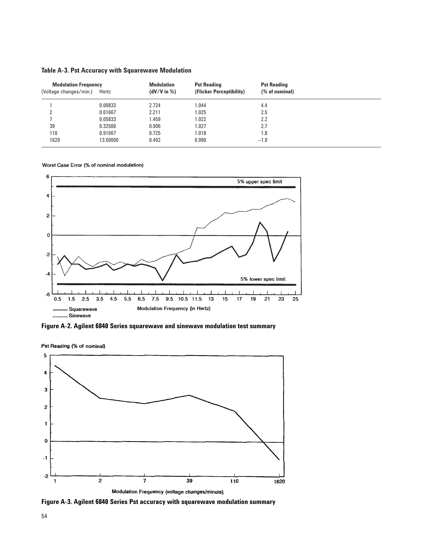| <b>Modulation Frequency</b><br>(Voltage changes/min.) | Hertz    | <b>Modulation</b><br>$(dV/V$ in $%$ ) | <b>Pst Reading</b><br>(Flicker Perceptibility) | <b>Pst Reading</b><br>(% of nominal) |  |
|-------------------------------------------------------|----------|---------------------------------------|------------------------------------------------|--------------------------------------|--|
|                                                       | 0.00833  | 2.724                                 | 1.044                                          | 4.4                                  |  |
|                                                       | 0.01667  | 2.211                                 | 1.025                                          | 2.5                                  |  |
|                                                       | 0.05833  | 1.459                                 | 1.022                                          | 2.2                                  |  |
| 39                                                    | 0.32500  | 0.906                                 | 1.027                                          | 2.7                                  |  |
| 110                                                   | 0.91667  | 0.725                                 | 1.018                                          | 1.8                                  |  |
| 1620                                                  | 13.50000 | 0.402                                 | 0.990                                          | $-1.0$                               |  |

#### **Table A-3. Pst Accuracy with Squarewave Modulation**

Worst Case Error (% of nominal modulation)



**Figure A-2. Agilent 6840 Series squarewave and sinewave modulation test summary**

Pst Reading (% of nominal)



**Figure A-3. Agilent 6840 Series Pst accuracy with squarewave modulation summary**

54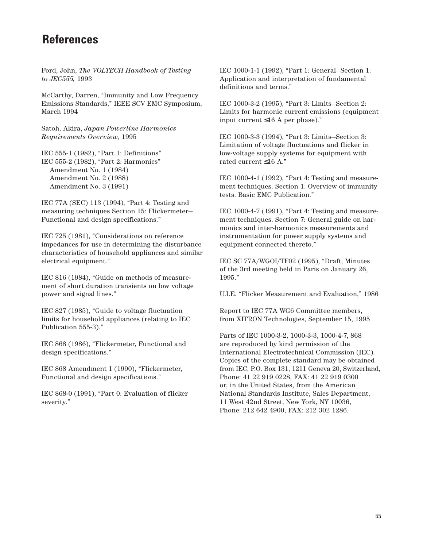## **References**

Ford, John, *The VOLTECH Handbook of Testing to JEC555,* 1993

McCarthy, Darren, "Immunity and Low Frequency Emissions Standards," IEEE SCV EMC Symposium, March 1994

Satoh, Akira, *Japan Powerline Harmonics Requirements Overview,* 1995

IEC 555-1 (1982), "Part 1: Definitions" IEC 555-2 (1982), "Part 2: Harmonics" Amendment No. 1 (1984) Amendment No. 2 (1988) Amendment No. 3 (1991)

IEC 77A (SEC) 113 (1994), "Part 4: Testing and measuring techniques Section 15: Flickermeter— Functional and design specifications."

IEC 725 (1981), "Considerations on reference impedances for use in determining the disturbance characteristics of household appliances and similar electrical equipment."

IEC 816 (1984), "Guide on methods of measurement of short duration transients on low voltage power and signal lines."

IEC 827 (1985), "Guide to voltage fluctuation limits for household appliances (relating to IEC Publication 555-3)."

IEC 868 (1986), "Flickermeter, Functional and design specifications."

IEC 868 Amendment 1 (1990), "Flickermeter, Functional and design specifications."

IEC 868-0 (1991), "Part 0: Evaluation of flicker severity."

IEC 1000-1-1 (1992), "Part 1: General—Section 1: Application and interpretation of fundamental definitions and terms."

IEC 1000-3-2 (1995), "Part 3: Limits—Section 2: Limits for harmonic current emissions (equipment input current ≤16 A per phase)."

IEC 1000-3-3 (1994), "Part 3: Limits—Section 3: Limitation of voltage fluctuations and flicker in low-voltage supply systems for equipment with rated current ≤16 A."

IEC 1000-4-1 (1992), "Part 4: Testing and measurement techniques. Section 1: Overview of immunity tests. Basic EMC Publication."

IEC 1000-4-7 (1991), "Part 4: Testing and measurement techniques. Section 7: General guide on harmonics and inter-harmonics measurements and instrumentation for power supply systems and equipment connected thereto."

IEC SC 77A/WGOI/TF02 (1995), "Draft, Minutes of the 3rd meeting held in Paris on January 26, 1995."

U.I.E. "Flicker Measurement and Evaluation," 1986

Report to IEC 77A WG6 Committee members, from XITRON Technologies, September 15, 1995

Parts of IEC 1000-3-2, 1000-3-3, 1000-4-7, 868 are reproduced by kind permission of the International Electrotechnical Commission (IEC). Copies of the complete standard may be obtained from IEC, P.O. Box 131, 1211 Geneva 20, Switzerland, Phone: 41 22 919 0228, FAX: 41 22 919 0300 or, in the United States, from the American National Standards Institute, Sales Department, 11 West 42nd Street, New York, NY 10036, Phone: 212 642 4900, FAX: 212 302 1286.